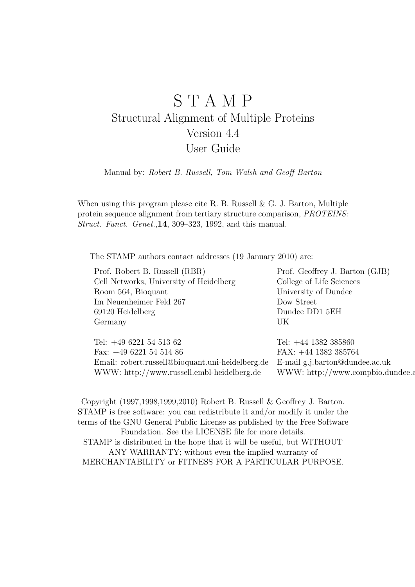# S T A M P Structural Alignment of Multiple Proteins Version 4.4 User Guide

Manual by: Robert B. Russell, Tom Walsh and Geoff Barton

When using this program please cite R. B. Russell & G. J. Barton, Multiple protein sequence alignment from tertiary structure comparison, PROTEINS: Struct. Funct. Genet.,14, 309–323, 1992, and this manual.

The STAMP authors contact addresses (19 January 2010) are:

Prof. Robert B. Russell (RBR) Prof. Geoffrey J. Barton (GJB) Cell Networks, University of Heidelberg College of Life Sciences Room 564, Bioquant University of Dundee Im Neuenheimer Feld 267 Dow Street 69120 Heidelberg Dundee DD1 5EH Germany UK

| Tel: $+44$ 1382 385860                                                          |
|---------------------------------------------------------------------------------|
| FAX: $+44$ 1382 385764                                                          |
| Email: robert.russell@bioquant.uni-heidelberg.de E-mail g.j.barton@dundee.ac.uk |
| WWW: http://www.compbio.dundee.a                                                |
|                                                                                 |

Copyright (1997,1998,1999,2010) Robert B. Russell & Geoffrey J. Barton. STAMP is free software: you can redistribute it and/or modify it under the terms of the GNU General Public License as published by the Free Software Foundation. See the LICENSE file for more details. STAMP is distributed in the hope that it will be useful, but WITHOUT ANY WARRANTY; without even the implied warranty of MERCHANTABILITY or FITNESS FOR A PARTICULAR PURPOSE.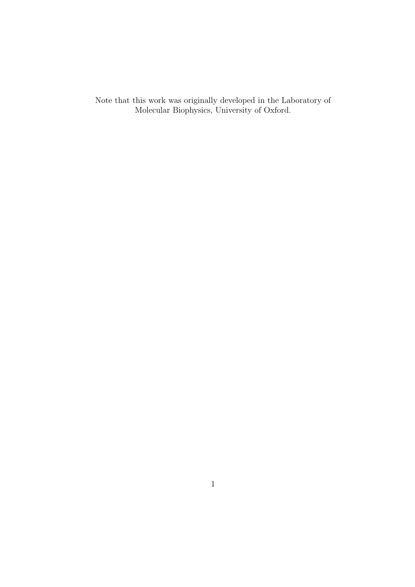Note that this work was originally developed in the Laboratory of Molecular Biophysics, University of Oxford.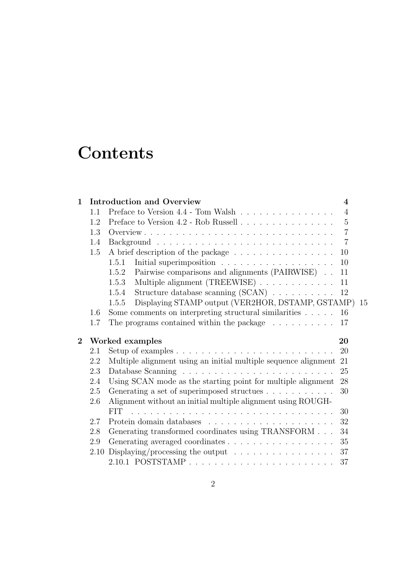# **Contents**

| 1              |      | <b>Introduction and Overview</b>                                                   | $\overline{\mathcal{A}}$ |
|----------------|------|------------------------------------------------------------------------------------|--------------------------|
|                | 1.1  | Preface to Version 4.4 - Tom Walsh                                                 | $\overline{4}$           |
|                | 1.2  | Preface to Version 4.2 - Rob Russell                                               | $\overline{5}$           |
|                | 1.3  |                                                                                    | $\overline{7}$           |
|                | 1.4  |                                                                                    | $\overline{7}$           |
|                | 1.5  | A brief description of the package                                                 | 10                       |
|                |      | 1.5.1                                                                              | 10                       |
|                |      | Pairwise comparisons and alignments (PAIRWISE)<br>1.5.2                            | 11                       |
|                |      | Multiple alignment (TREEWISE)<br>1.5.3                                             | 11                       |
|                |      | Structure database scanning $(SCAN) \dots \dots \dots$<br>1.5.4                    | 12                       |
|                |      | Displaying STAMP output (VER2HOR, DSTAMP, GSTAMP) 15<br>1.5.5                      |                          |
|                | 1.6  | Some comments on interpreting structural similarities $\dots$ .                    | 16                       |
|                | 1.7  | The programs contained within the package $\dots \dots \dots$                      | 17                       |
| $\overline{2}$ |      | Worked examples                                                                    | 20                       |
|                |      |                                                                                    |                          |
|                | 2.1  | Setup of examples $\ldots \ldots \ldots \ldots \ldots \ldots \ldots \ldots \ldots$ | 20                       |
|                | 2.2  | Multiple alignment using an initial multiple sequence alignment                    | 21                       |
|                | 2.3  |                                                                                    | 25                       |
|                | 2.4  | Using SCAN mode as the starting point for multiple alignment                       | 28                       |
|                | 2.5  | Generating a set of superimposed structues                                         | 30                       |
|                | 2.6  | Alignment without an initial multiple alignment using ROUGH-                       |                          |
|                |      | <b>FIT</b>                                                                         | 30                       |
|                | 2.7  | Protein domain databases $\ldots \ldots \ldots \ldots \ldots \ldots \ldots$        | 32                       |
|                | 2.8  | Generating transformed coordinates using TRANSFORM                                 | 34                       |
|                | 2.9  |                                                                                    | 35                       |
|                | 2.10 | Displaying/processing the output $\dots \dots \dots \dots \dots$                   | 37                       |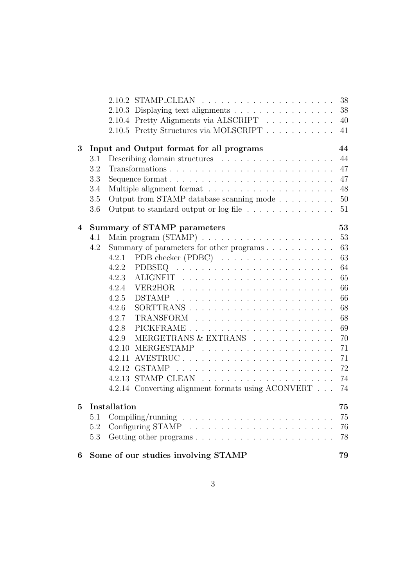|   |     |                                                                     | 38 |
|---|-----|---------------------------------------------------------------------|----|
|   |     | 2.10.3 Displaying text alignments                                   | 38 |
|   |     | 2.10.4 Pretty Alignments via ALSCRIPT                               | 40 |
|   |     | 2.10.5 Pretty Structures via MOLSCRIPT                              | 41 |
| 3 |     | Input and Output format for all programs                            | 44 |
|   | 3.1 |                                                                     | 44 |
|   | 3.2 |                                                                     | 47 |
|   | 3.3 | Sequence format                                                     | 47 |
|   | 3.4 |                                                                     | 48 |
|   | 3.5 | Output from STAMP database scanning mode                            | 50 |
|   | 3.6 | Output to standard output or $log file \ldots \ldots \ldots \ldots$ | 51 |
| 4 |     | <b>Summary of STAMP parameters</b>                                  | 53 |
|   | 4.1 |                                                                     | 53 |
|   | 4.2 |                                                                     | 63 |
|   |     | PDB checker (PDBC)<br>4.2.1                                         | 63 |
|   |     | 4.2.2                                                               | 64 |
|   |     | 4.2.3                                                               | 65 |
|   |     | 4.2.4                                                               | 66 |
|   |     | 4.2.5                                                               | 66 |
|   |     | 4.2.6                                                               | 68 |
|   |     | 4.2.7                                                               | 68 |
|   |     | 4.2.8                                                               | 69 |
|   |     | MERGETRANS & EXTRANS<br>4.2.9                                       | 70 |
|   |     |                                                                     | 71 |
|   |     |                                                                     | 71 |
|   |     | 4.2.12                                                              | 72 |
|   |     | 4.2.13                                                              | 74 |
|   |     | 4.2.14 Converting alignment formats using ACONVERT                  | 74 |
| 5 |     | Installation                                                        | 75 |
|   | 5.1 |                                                                     | 75 |
|   | 5.2 |                                                                     | 76 |
|   | 5.3 |                                                                     | 78 |
| 6 |     | Some of our studies involving STAMP                                 | 79 |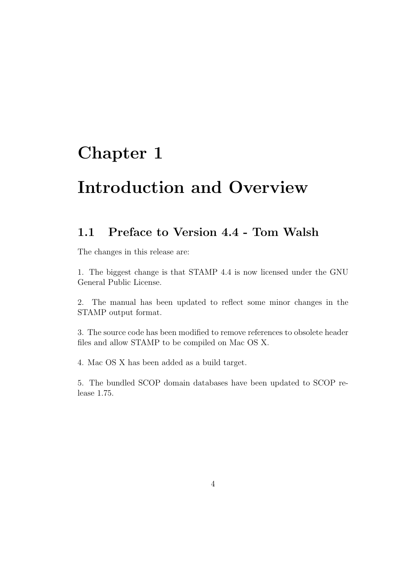# Chapter 1

# Introduction and Overview

## 1.1 Preface to Version 4.4 - Tom Walsh

The changes in this release are:

1. The biggest change is that STAMP 4.4 is now licensed under the GNU General Public License.

2. The manual has been updated to reflect some minor changes in the STAMP output format.

3. The source code has been modified to remove references to obsolete header files and allow STAMP to be compiled on Mac OS X.

4. Mac OS X has been added as a build target.

5. The bundled SCOP domain databases have been updated to SCOP release 1.75.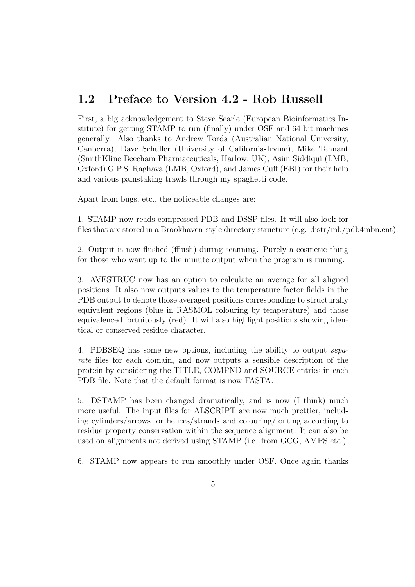### 1.2 Preface to Version 4.2 - Rob Russell

First, a big acknowledgement to Steve Searle (European Bioinformatics Institute) for getting STAMP to run (finally) under OSF and 64 bit machines generally. Also thanks to Andrew Torda (Australian National University, Canberra), Dave Schuller (University of California-Irvine), Mike Tennant (SmithKline Beecham Pharmaceuticals, Harlow, UK), Asim Siddiqui (LMB, Oxford) G.P.S. Raghava (LMB, Oxford), and James Cuff (EBI) for their help and various painstaking trawls through my spaghetti code.

Apart from bugs, etc., the noticeable changes are:

1. STAMP now reads compressed PDB and DSSP files. It will also look for files that are stored in a Brookhaven-style directory structure (e.g. distr/mb/pdb4mbn.ent).

2. Output is now flushed (fflush) during scanning. Purely a cosmetic thing for those who want up to the minute output when the program is running.

3. AVESTRUC now has an option to calculate an average for all aligned positions. It also now outputs values to the temperature factor fields in the PDB output to denote those averaged positions corresponding to structurally equivalent regions (blue in RASMOL colouring by temperature) and those equivalenced fortuitously (red). It will also highlight positions showing identical or conserved residue character.

4. PDBSEQ has some new options, including the ability to output separate files for each domain, and now outputs a sensible description of the protein by considering the TITLE, COMPND and SOURCE entries in each PDB file. Note that the default format is now FASTA.

5. DSTAMP has been changed dramatically, and is now (I think) much more useful. The input files for ALSCRIPT are now much prettier, including cylinders/arrows for helices/strands and colouring/fonting according to residue property conservation within the sequence alignment. It can also be used on alignments not derived using STAMP (i.e. from GCG, AMPS etc.).

6. STAMP now appears to run smoothly under OSF. Once again thanks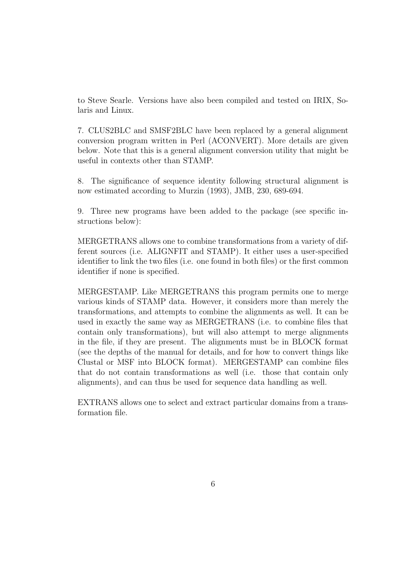to Steve Searle. Versions have also been compiled and tested on IRIX, Solaris and Linux.

7. CLUS2BLC and SMSF2BLC have been replaced by a general alignment conversion program written in Perl (ACONVERT). More details are given below. Note that this is a general alignment conversion utility that might be useful in contexts other than STAMP.

8. The significance of sequence identity following structural alignment is now estimated according to Murzin (1993), JMB, 230, 689-694.

9. Three new programs have been added to the package (see specific instructions below):

MERGETRANS allows one to combine transformations from a variety of different sources (i.e. ALIGNFIT and STAMP). It either uses a user-specified identifier to link the two files (i.e. one found in both files) or the first common identifier if none is specified.

MERGESTAMP. Like MERGETRANS this program permits one to merge various kinds of STAMP data. However, it considers more than merely the transformations, and attempts to combine the alignments as well. It can be used in exactly the same way as MERGETRANS (i.e. to combine files that contain only transformations), but will also attempt to merge alignments in the file, if they are present. The alignments must be in BLOCK format (see the depths of the manual for details, and for how to convert things like Clustal or MSF into BLOCK format). MERGESTAMP can combine files that do not contain transformations as well (i.e. those that contain only alignments), and can thus be used for sequence data handling as well.

EXTRANS allows one to select and extract particular domains from a transformation file.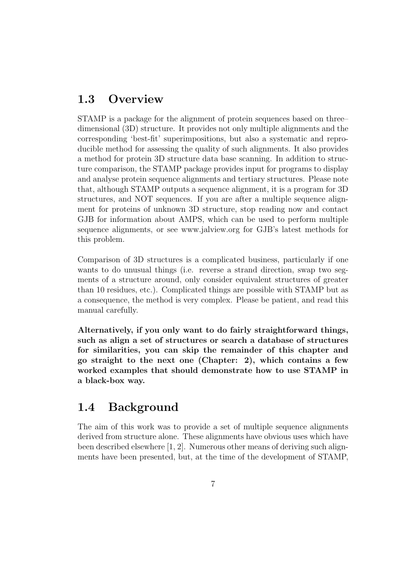### 1.3 Overview

STAMP is a package for the alignment of protein sequences based on three– dimensional (3D) structure. It provides not only multiple alignments and the corresponding 'best-fit' superimpositions, but also a systematic and reproducible method for assessing the quality of such alignments. It also provides a method for protein 3D structure data base scanning. In addition to structure comparison, the STAMP package provides input for programs to display and analyse protein sequence alignments and tertiary structures. Please note that, although STAMP outputs a sequence alignment, it is a program for 3D structures, and NOT sequences. If you are after a multiple sequence alignment for proteins of unknown 3D structure, stop reading now and contact GJB for information about AMPS, which can be used to perform multiple sequence alignments, or see www.jalview.org for GJB's latest methods for this problem.

Comparison of 3D structures is a complicated business, particularly if one wants to do unusual things (i.e. reverse a strand direction, swap two segments of a structure around, only consider equivalent structures of greater than 10 residues, etc.). Complicated things are possible with STAMP but as a consequence, the method is very complex. Please be patient, and read this manual carefully.

Alternatively, if you only want to do fairly straightforward things, such as align a set of structures or search a database of structures for similarities, you can skip the remainder of this chapter and go straight to the next one (Chapter: 2), which contains a few worked examples that should demonstrate how to use STAMP in a black-box way.

## 1.4 Background

The aim of this work was to provide a set of multiple sequence alignments derived from structure alone. These alignments have obvious uses which have been described elsewhere [1, 2]. Numerous other means of deriving such alignments have been presented, but, at the time of the development of STAMP,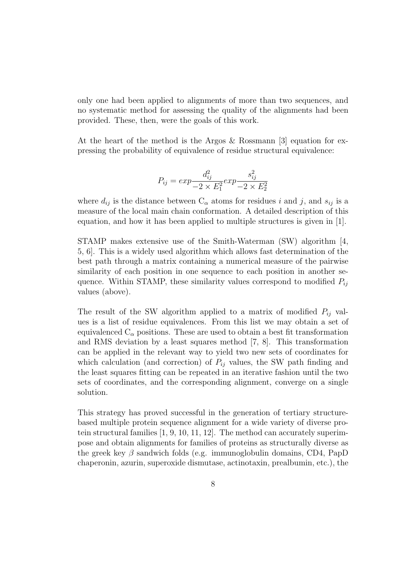only one had been applied to alignments of more than two sequences, and no systematic method for assessing the quality of the alignments had been provided. These, then, were the goals of this work.

At the heart of the method is the Argos & Rossmann [3] equation for expressing the probability of equivalence of residue structural equivalence:

$$
P_{ij} = exp \frac{d_{ij}^2}{-2 \times E_1^2} exp \frac{s_{ij}^2}{-2 \times E_2^2}
$$

where  $d_{ij}$  is the distance between  $C_{\alpha}$  atoms for residues i and j, and  $s_{ij}$  is a measure of the local main chain conformation. A detailed description of this equation, and how it has been applied to multiple structures is given in [1].

STAMP makes extensive use of the Smith-Waterman (SW) algorithm [4, 5, 6]. This is a widely used algorithm which allows fast determination of the best path through a matrix containing a numerical measure of the pairwise similarity of each position in one sequence to each position in another sequence. Within STAMP, these similarity values correspond to modified  $P_{ij}$ values (above).

The result of the SW algorithm applied to a matrix of modified  $P_{ij}$  values is a list of residue equivalences. From this list we may obtain a set of equivalenced  $C_{\alpha}$  positions. These are used to obtain a best fit transformation and RMS deviation by a least squares method [7, 8]. This transformation can be applied in the relevant way to yield two new sets of coordinates for which calculation (and correction) of  $P_{ij}$  values, the SW path finding and the least squares fitting can be repeated in an iterative fashion until the two sets of coordinates, and the corresponding alignment, converge on a single solution.

This strategy has proved successful in the generation of tertiary structurebased multiple protein sequence alignment for a wide variety of diverse protein structural families [1, 9, 10, 11, 12]. The method can accurately superimpose and obtain alignments for families of proteins as structurally diverse as the greek key  $\beta$  sandwich folds (e.g. immunoglobulin domains, CD4, PapD chaperonin, azurin, superoxide dismutase, actinotaxin, prealbumin, etc.), the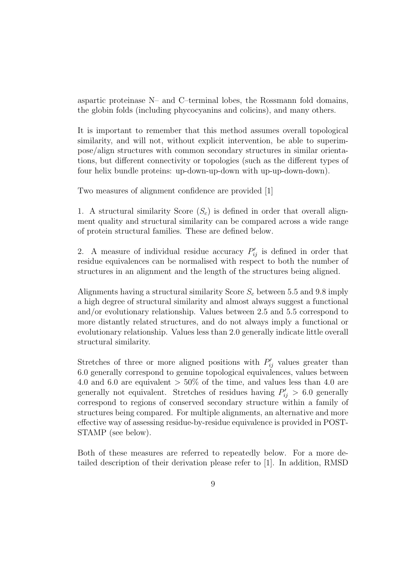aspartic proteinase N– and C–terminal lobes, the Rossmann fold domains, the globin folds (including phycocyanins and colicins), and many others.

It is important to remember that this method assumes overall topological similarity, and will not, without explicit intervention, be able to superimpose/align structures with common secondary structures in similar orientations, but different connectivity or topologies (such as the different types of four helix bundle proteins: up-down-up-down with up-up-down-down).

Two measures of alignment confidence are provided [1]

1. A structural similarity Score  $(S_c)$  is defined in order that overall alignment quality and structural similarity can be compared across a wide range of protein structural families. These are defined below.

2. A measure of individual residue accuracy  $P'_{ij}$  is defined in order that residue equivalences can be normalised with respect to both the number of structures in an alignment and the length of the structures being aligned.

Alignments having a structural similarity Score  $S_c$  between 5.5 and 9.8 imply a high degree of structural similarity and almost always suggest a functional and/or evolutionary relationship. Values between 2.5 and 5.5 correspond to more distantly related structures, and do not always imply a functional or evolutionary relationship. Values less than 2.0 generally indicate little overall structural similarity.

Stretches of three or more aligned positions with  $P'_{ij}$  values greater than 6.0 generally correspond to genuine topological equivalences, values between 4.0 and 6.0 are equivalent  $> 50\%$  of the time, and values less than 4.0 are generally not equivalent. Stretches of residues having  $P'_{ij} > 6.0$  generally correspond to regions of conserved secondary structure within a family of structures being compared. For multiple alignments, an alternative and more effective way of assessing residue-by-residue equivalence is provided in POST-STAMP (see below).

Both of these measures are referred to repeatedly below. For a more detailed description of their derivation please refer to [1]. In addition, RMSD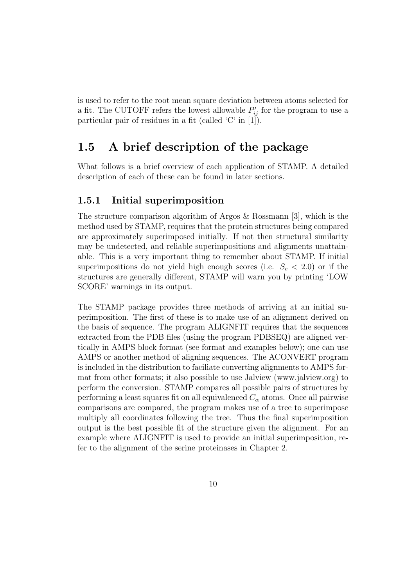is used to refer to the root mean square deviation between atoms selected for a fit. The CUTOFF refers the lowest allowable  $P'_{ij}$  for the program to use a particular pair of residues in a fit (called 'C' in [1]).

### 1.5 A brief description of the package

What follows is a brief overview of each application of STAMP. A detailed description of each of these can be found in later sections.

#### 1.5.1 Initial superimposition

The structure comparison algorithm of Argos & Rossmann [3], which is the method used by STAMP, requires that the protein structures being compared are approximately superimposed initially. If not then structural similarity may be undetected, and reliable superimpositions and alignments unattainable. This is a very important thing to remember about STAMP. If initial superimpositions do not yield high enough scores (i.e.  $S_c < 2.0$ ) or if the structures are generally different, STAMP will warn you by printing 'LOW SCORE' warnings in its output.

The STAMP package provides three methods of arriving at an initial superimposition. The first of these is to make use of an alignment derived on the basis of sequence. The program ALIGNFIT requires that the sequences extracted from the PDB files (using the program PDBSEQ) are aligned vertically in AMPS block format (see format and examples below); one can use AMPS or another method of aligning sequences. The ACONVERT program is included in the distribution to faciliate converting alignments to AMPS format from other formats; it also possible to use Jalview (www.jalview.org) to perform the conversion. STAMP compares all possible pairs of structures by performing a least squares fit on all equivalenced  $C_{\alpha}$  atoms. Once all pairwise comparisons are compared, the program makes use of a tree to superimpose multiply all coordinates following the tree. Thus the final superimposition output is the best possible fit of the structure given the alignment. For an example where ALIGNFIT is used to provide an initial superimposition, refer to the alignment of the serine proteinases in Chapter 2.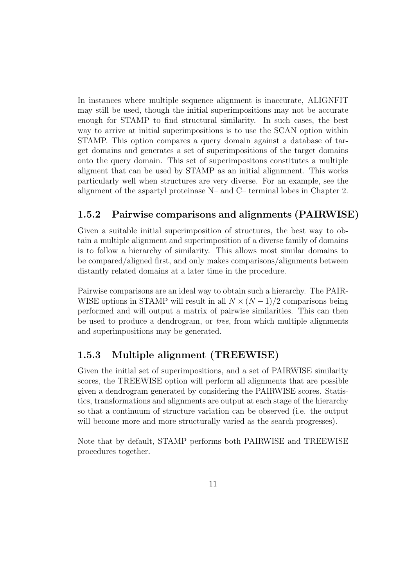In instances where multiple sequence alignment is inaccurate, ALIGNFIT may still be used, though the initial superimpositions may not be accurate enough for STAMP to find structural similarity. In such cases, the best way to arrive at initial superimpositions is to use the SCAN option within STAMP. This option compares a query domain against a database of target domains and generates a set of superimpositions of the target domains onto the query domain. This set of superimpositons constitutes a multiple aligment that can be used by STAMP as an initial alignmnent. This works particularly well when structures are very diverse. For an example, see the alignment of the aspartyl proteinase N– and C– terminal lobes in Chapter 2.

#### 1.5.2 Pairwise comparisons and alignments (PAIRWISE)

Given a suitable initial superimposition of structures, the best way to obtain a multiple alignment and superimposition of a diverse family of domains is to follow a hierarchy of similarity. This allows most similar domains to be compared/aligned first, and only makes comparisons/alignments between distantly related domains at a later time in the procedure.

Pairwise comparisons are an ideal way to obtain such a hierarchy. The PAIR-WISE options in STAMP will result in all  $N \times (N-1)/2$  comparisons being performed and will output a matrix of pairwise similarities. This can then be used to produce a dendrogram, or tree, from which multiple alignments and superimpositions may be generated.

### 1.5.3 Multiple alignment (TREEWISE)

Given the initial set of superimpositions, and a set of PAIRWISE similarity scores, the TREEWISE option will perform all alignments that are possible given a dendrogram generated by considering the PAIRWISE scores. Statistics, transformations and alignments are output at each stage of the hierarchy so that a continuum of structure variation can be observed (i.e. the output will become more and more structurally varied as the search progresses).

Note that by default, STAMP performs both PAIRWISE and TREEWISE procedures together.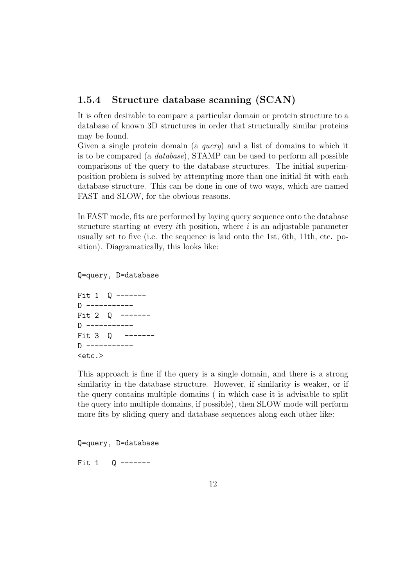#### 1.5.4 Structure database scanning (SCAN)

It is often desirable to compare a particular domain or protein structure to a database of known 3D structures in order that structurally similar proteins may be found.

Given a single protein domain (a query) and a list of domains to which it is to be compared (a database), STAMP can be used to perform all possible comparisons of the query to the database structures. The initial superimposition problem is solved by attempting more than one initial fit with each database structure. This can be done in one of two ways, which are named FAST and SLOW, for the obvious reasons.

In FAST mode, fits are performed by laying query sequence onto the database structure starting at every *i*th position, where  $i$  is an adjustable parameter usually set to five (i.e. the sequence is laid onto the 1st, 6th, 11th, etc. position). Diagramatically, this looks like:

Q=query, D=database Fit 1 Q ------- D ----------- Fit 2 0 ------- $D$  -----------

Fit 3 Q -------D -----------  $<sub>etc.</sub>$ </sub>

This approach is fine if the query is a single domain, and there is a strong similarity in the database structure. However, if similarity is weaker, or if the query contains multiple domains ( in which case it is advisable to split the query into multiple domains, if possible), then SLOW mode will perform more fits by sliding query and database sequences along each other like:

Q=query, D=database

Fit 1 0 -------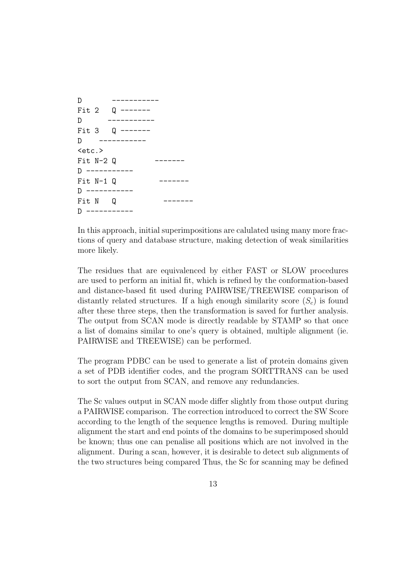```
D -----------
Fit 2 Q -------
D -----------
Fit 3 Q -------
D -----------
<sub>etc.</sub></sub>
Fit N-2 Q
D ----------
Fit N-1 Q
D -----------
Fit N Q -------
D -----------
```
In this approach, initial superimpositions are calulated using many more fractions of query and database structure, making detection of weak similarities more likely.

The residues that are equivalenced by either FAST or SLOW procedures are used to perform an initial fit, which is refined by the conformation-based and distance-based fit used during PAIRWISE/TREEWISE comparison of distantly related structures. If a high enough similarity score  $(S_c)$  is found after these three steps, then the transformation is saved for further analysis. The output from SCAN mode is directly readable by STAMP so that once a list of domains similar to one's query is obtained, multiple alignment (ie. PAIRWISE and TREEWISE) can be performed.

The program PDBC can be used to generate a list of protein domains given a set of PDB identifier codes, and the program SORTTRANS can be used to sort the output from SCAN, and remove any redundancies.

The Sc values output in SCAN mode differ slightly from those output during a PAIRWISE comparison. The correction introduced to correct the SW Score according to the length of the sequence lengths is removed. During multiple alignment the start and end points of the domains to be superimposed should be known; thus one can penalise all positions which are not involved in the alignment. During a scan, however, it is desirable to detect sub alignments of the two structures being compared Thus, the Sc for scanning may be defined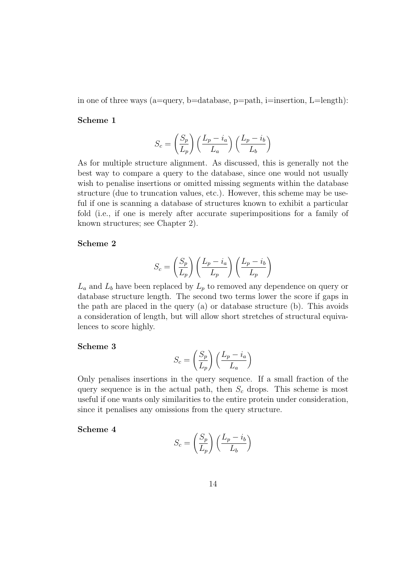in one of three ways (a=query, b=database, p=path, i=insertion,  $L=length$ ):

#### Scheme 1

$$
S_c = \left(\frac{S_p}{L_p}\right) \left(\frac{L_p - i_a}{L_a}\right) \left(\frac{L_p - i_b}{L_b}\right)
$$

As for multiple structure alignment. As discussed, this is generally not the best way to compare a query to the database, since one would not usually wish to penalise insertions or omitted missing segments within the database structure (due to truncation values, etc.). However, this scheme may be useful if one is scanning a database of structures known to exhibit a particular fold (i.e., if one is merely after accurate superimpositions for a family of known structures; see Chapter 2).

#### Scheme 2

$$
S_c = \left(\frac{S_p}{L_p}\right) \left(\frac{L_p - i_a}{L_p}\right) \left(\frac{L_p - i_b}{L_p}\right)
$$

 $L_a$  and  $L_b$  have been replaced by  $L_p$  to removed any dependence on query or database structure length. The second two terms lower the score if gaps in the path are placed in the query (a) or database structure (b). This avoids a consideration of length, but will allow short stretches of structural equivalences to score highly.

#### Scheme 3

$$
S_c = \left(\frac{S_p}{L_p}\right) \left(\frac{L_p - i_a}{L_a}\right)
$$

Only penalises insertions in the query sequence. If a small fraction of the query sequence is in the actual path, then  $S_c$  drops. This scheme is most useful if one wants only similarities to the entire protein under consideration, since it penalises any omissions from the query structure.

#### Scheme 4

$$
S_c = \left(\frac{S_p}{L_p}\right) \left(\frac{L_p - i_b}{L_b}\right)
$$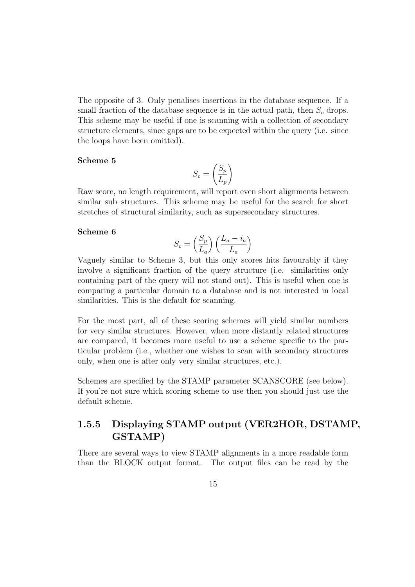The opposite of 3. Only penalises insertions in the database sequence. If a small fraction of the database sequence is in the actual path, then  $S_c$  drops. This scheme may be useful if one is scanning with a collection of secondary structure elements, since gaps are to be expected within the query (i.e. since the loops have been omitted).

#### Scheme 5

$$
S_c = \left(\frac{S_p}{L_p}\right)
$$

Raw score, no length requirement, will report even short alignments between similar sub–structures. This scheme may be useful for the search for short stretches of structural similarity, such as supersecondary structures.

#### Scheme 6

$$
S_c = \left(\frac{S_p}{L_a}\right) \left(\frac{L_a - i_a}{L_a}\right)
$$

Vaguely similar to Scheme 3, but this only scores hits favourably if they involve a significant fraction of the query structure (i.e. similarities only containing part of the query will not stand out). This is useful when one is comparing a particular domain to a database and is not interested in local similarities. This is the default for scanning.

For the most part, all of these scoring schemes will yield similar numbers for very similar structures. However, when more distantly related structures are compared, it becomes more useful to use a scheme specific to the particular problem (i.e., whether one wishes to scan with secondary structures only, when one is after only very similar structures, etc.).

Schemes are specified by the STAMP parameter SCANSCORE (see below). If you're not sure which scoring scheme to use then you should just use the default scheme.

### 1.5.5 Displaying STAMP output (VER2HOR, DSTAMP, GSTAMP)

There are several ways to view STAMP alignments in a more readable form than the BLOCK output format. The output files can be read by the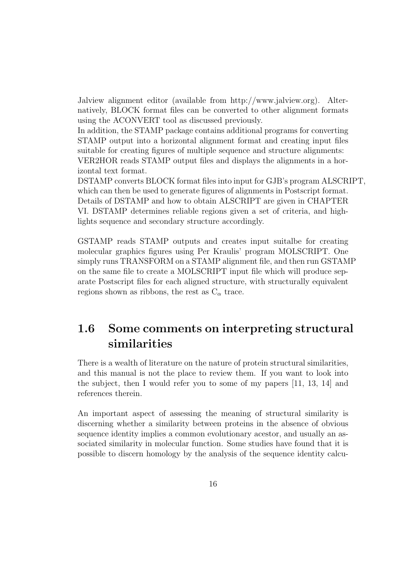Jalview alignment editor (available from http://www.jalview.org). Alternatively, BLOCK format files can be converted to other alignment formats using the ACONVERT tool as discussed previously.

In addition, the STAMP package contains additional programs for converting STAMP output into a horizontal alignment format and creating input files suitable for creating figures of multiple sequence and structure alignments: VER2HOR reads STAMP output files and displays the alignments in a horizontal text format.

DSTAMP converts BLOCK format files into input for GJB's program ALSCRIPT, which can then be used to generate figures of alignments in Postscript format. Details of DSTAMP and how to obtain ALSCRIPT are given in CHAPTER VI. DSTAMP determines reliable regions given a set of criteria, and highlights sequence and secondary structure accordingly.

GSTAMP reads STAMP outputs and creates input suitalbe for creating molecular graphics figures using Per Kraulis' program MOLSCRIPT. One simply runs TRANSFORM on a STAMP alignment file, and then run GSTAMP on the same file to create a MOLSCRIPT input file which will produce separate Postscript files for each aligned structure, with structurally equivalent regions shown as ribbons, the rest as  $C_{\alpha}$  trace.

## 1.6 Some comments on interpreting structural similarities

There is a wealth of literature on the nature of protein structural similarities, and this manual is not the place to review them. If you want to look into the subject, then I would refer you to some of my papers [11, 13, 14] and references therein.

An important aspect of assessing the meaning of structural similarity is discerning whether a similarity between proteins in the absence of obvious sequence identity implies a common evolutionary acestor, and usually an associated similarity in molecular function. Some studies have found that it is possible to discern homology by the analysis of the sequence identity calcu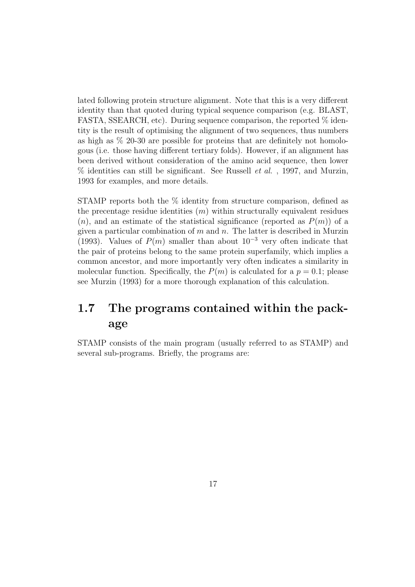lated following protein structure alignment. Note that this is a very different identity than that quoted during typical sequence comparison (e.g. BLAST, FASTA, SSEARCH, etc). During sequence comparison, the reported  $\%$  identity is the result of optimising the alignment of two sequences, thus numbers as high as % 20-30 are possible for proteins that are definitely not homologous (i.e. those having different tertiary folds). However, if an alignment has been derived without consideration of the amino acid sequence, then lower  $%$  identities can still be significant. See Russell *et al.*, 1997, and Murzin, 1993 for examples, and more details.

STAMP reports both the % identity from structure comparison, defined as the precentage residue identities  $(m)$  within structurally equivalent residues  $(n)$ , and an estimate of the statistical significance (reported as  $P(m)$ ) of a given a particular combination of  $m$  and  $n$ . The latter is described in Murzin (1993). Values of  $P(m)$  smaller than about  $10^{-3}$  very often indicate that the pair of proteins belong to the same protein superfamily, which implies a common ancestor, and more importantly very often indicates a similarity in molecular function. Specifically, the  $P(m)$  is calculated for a  $p = 0.1$ ; please see Murzin (1993) for a more thorough explanation of this calculation.

## 1.7 The programs contained within the package

STAMP consists of the main program (usually referred to as STAMP) and several sub-programs. Briefly, the programs are: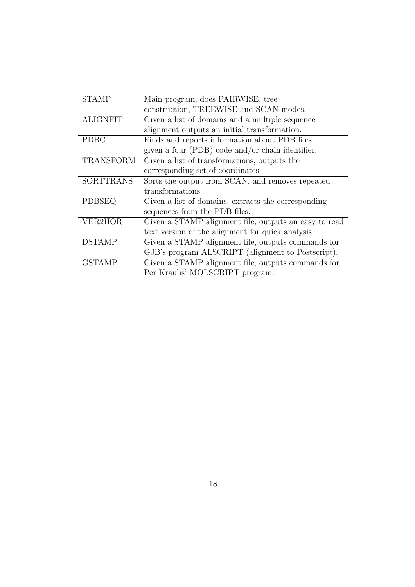| <b>STAMP</b>     | Main program, does PAIRWISE, tree                     |
|------------------|-------------------------------------------------------|
|                  | construction, TREEWISE and SCAN modes.                |
| <b>ALIGNFIT</b>  | Given a list of domains and a multiple sequence       |
|                  | alignment outputs an initial transformation.          |
| <b>PDBC</b>      | Finds and reports information about PDB files         |
|                  | given a four (PDB) code and/or chain identifier.      |
| <b>TRANSFORM</b> | Given a list of transformations, outputs the          |
|                  | corresponding set of coordinates.                     |
| <b>SORTTRANS</b> | Sorts the output from SCAN, and removes repeated      |
|                  | transformations.                                      |
| <b>PDBSEQ</b>    | Given a list of domains, extracts the corresponding   |
|                  | sequences from the PDB files.                         |
| VER2HOR          | Given a STAMP alignment file, outputs an easy to read |
|                  | text version of the alignment for quick analysis.     |
| <b>DSTAMP</b>    | Given a STAMP alignment file, outputs commands for    |
|                  | GJB's program ALSCRIPT (alignment to Postscript).     |
| <b>GSTAMP</b>    | Given a STAMP alignment file, outputs commands for    |
|                  | Per Kraulis' MOLSCRIPT program.                       |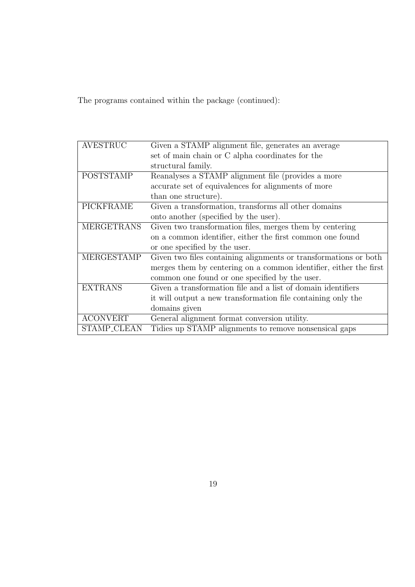The programs contained within the package (continued):

| <b>AVESTRUC</b>   | Given a STAMP alignment file, generates an average                |
|-------------------|-------------------------------------------------------------------|
|                   | set of main chain or C alpha coordinates for the                  |
|                   | structural family.                                                |
| <b>POSTSTAMP</b>  | Reanalyses a STAMP alignment file (provides a more                |
|                   | accurate set of equivalences for alignments of more               |
|                   | than one structure).                                              |
| <b>PICKFRAME</b>  | Given a transformation, transforms all other domains              |
|                   | onto another (specified by the user).                             |
| <b>MERGETRANS</b> | Given two transformation files, merges them by centering          |
|                   | on a common identifier, either the first common one found         |
|                   | or one specified by the user.                                     |
| MERGESTAMP        | Given two files containing alignments or transformations or both  |
|                   | merges them by centering on a common identifier, either the first |
|                   | common one found or one specified by the user.                    |
| <b>EXTRANS</b>    | Given a transformation file and a list of domain identifiers      |
|                   | it will output a new transformation file containing only the      |
|                   | domains given                                                     |
| <b>ACONVERT</b>   | General alignment format conversion utility.                      |
| STAMP_CLEAN       | Tidies up STAMP alignments to remove nonsensical gaps             |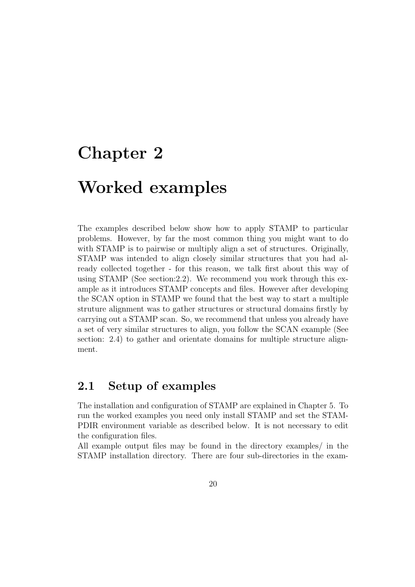# Chapter 2

# Worked examples

The examples described below show how to apply STAMP to particular problems. However, by far the most common thing you might want to do with STAMP is to pairwise or multiply align a set of structures. Originally, STAMP was intended to align closely similar structures that you had already collected together - for this reason, we talk first about this way of using STAMP (See section: 2.2). We recommend you work through this example as it introduces STAMP concepts and files. However after developing the SCAN option in STAMP we found that the best way to start a multiple struture alignment was to gather structures or structural domains firstly by carrying out a STAMP scan. So, we recommend that unless you already have a set of very similar structures to align, you follow the SCAN example (See section: 2.4) to gather and orientate domains for multiple structure alignment.

### 2.1 Setup of examples

The installation and configuration of STAMP are explained in Chapter 5. To run the worked examples you need only install STAMP and set the STAM-PDIR environment variable as described below. It is not necessary to edit the configuration files.

All example output files may be found in the directory examples/ in the STAMP installation directory. There are four sub-directories in the exam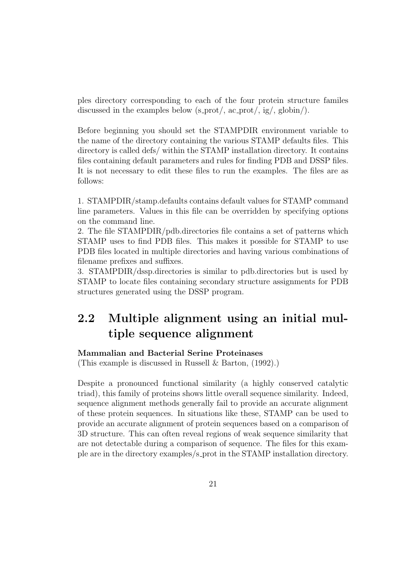ples directory corresponding to each of the four protein structure familes discussed in the examples below  $(s_{\text{c}})$ ,  $\frac{1}{s}$ ,  $\frac{1}{s}$ ,  $\frac{1}{s}$ ,  $\frac{1}{s}$ ,  $\frac{1}{s}$ .

Before beginning you should set the STAMPDIR environment variable to the name of the directory containing the various STAMP defaults files. This directory is called defs/ within the STAMP installation directory. It contains files containing default parameters and rules for finding PDB and DSSP files. It is not necessary to edit these files to run the examples. The files are as follows:

1. STAMPDIR/stamp.defaults contains default values for STAMP command line parameters. Values in this file can be overridden by specifying options on the command line.

2. The file STAMPDIR/pdb.directories file contains a set of patterns which STAMP uses to find PDB files. This makes it possible for STAMP to use PDB files located in multiple directories and having various combinations of filename prefixes and suffixes.

3. STAMPDIR/dssp.directories is similar to pdb.directories but is used by STAMP to locate files containing secondary structure assignments for PDB structures generated using the DSSP program.

## 2.2 Multiple alignment using an initial multiple sequence alignment

#### Mammalian and Bacterial Serine Proteinases

(This example is discussed in Russell & Barton, (1992).)

Despite a pronounced functional similarity (a highly conserved catalytic triad), this family of proteins shows little overall sequence similarity. Indeed, sequence alignment methods generally fail to provide an accurate alignment of these protein sequences. In situations like these, STAMP can be used to provide an accurate alignment of protein sequences based on a comparison of 3D structure. This can often reveal regions of weak sequence similarity that are not detectable during a comparison of sequence. The files for this example are in the directory examples/s prot in the STAMP installation directory.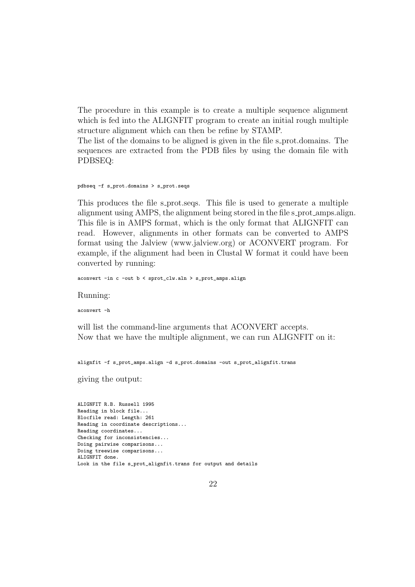The procedure in this example is to create a multiple sequence alignment which is fed into the ALIGNFIT program to create an initial rough multiple structure alignment which can then be refine by STAMP.

The list of the domains to be aligned is given in the file s prot. domains. The sequences are extracted from the PDB files by using the domain file with PDBSEQ:

```
pdbseq -f s_prot.domains > s_prot.seqs
```
This produces the file s prot. seqs. This file is used to generate a multiple alignment using AMPS, the alignment being stored in the file s prot amps. align. This file is in AMPS format, which is the only format that ALIGNFIT can read. However, alignments in other formats can be converted to AMPS format using the Jalview (www.jalview.org) or ACONVERT program. For example, if the alignment had been in Clustal W format it could have been converted by running:

aconvert -in c -out b < sprot\_clw.aln > s\_prot\_amps.align

Running:

aconvert -h

will list the command-line arguments that ACONVERT accepts. Now that we have the multiple alignment, we can run ALIGNFIT on it:

alignfit -f s\_prot\_amps.align -d s\_prot.domains -out s\_prot\_alignfit.trans

giving the output:

ALIGNFIT R.B. Russell 1995 Reading in block file... Blocfile read: Length: 261 Reading in coordinate descriptions... Reading coordinates... Checking for inconsistencies... Doing pairwise comparisons... Doing treewise comparisons... ALIGNFIT done. Look in the file s\_prot\_alignfit.trans for output and details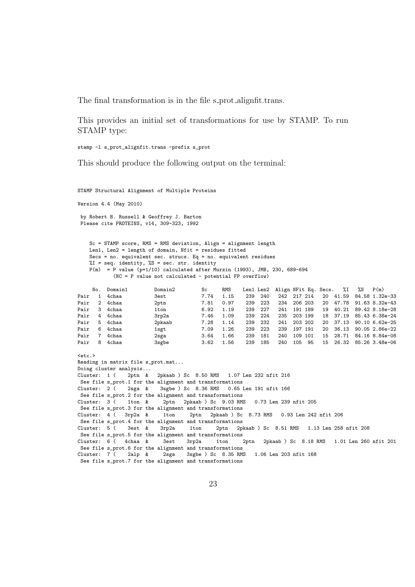The final transformation is in the file s prot alignfit.trans.

This provides an initial set of transformations for use by STAMP. To run STAMP type:

stamp -l s\_prot\_alignfit.trans -prefix s\_prot

This should produce the following output on the terminal:

STAMP Structural Alignment of Multiple Proteins

Version 4.4 (May 2010)

by Robert B. Russell & Geoffrey J. Barton Please cite PROTEINS, v14, 309-323, 1992

Sc = STAMP score, RMS = RMS deviation, Align = alignment length Len1, Len2 = length of domain, Nfit = residues fitted Secs = no. equivalent sec. strucs. Eq = no. equivalent residues  $\sqrt[6]{1}$  = seq. identity,  $\sqrt[6]{5}$  = sec. str. identity  $P(m) = P$  value (p=1/10) calculated after Murzin (1993), JMB, 230, 689-694 (NC = P value not calculated - potential FP overflow)

|      |              | No. Domain1 | Domain2 | Sc   | RMS  |     |     |     | Len1 Len2 Align NFit Eq. Secs. |    | %I %S | P(m)                    |
|------|--------------|-------------|---------|------|------|-----|-----|-----|--------------------------------|----|-------|-------------------------|
| Pair | $\mathbf{1}$ | 4chaa       | 3est    | 7.74 | 1.15 | 239 | 240 | 242 | 217 214                        |    |       | 20 41.59 84.58 1.32e-33 |
| Pair |              | 2 4chaa     | 2ptn    | 7.81 | 0.97 | 239 | 223 | 234 | 206 203                        | 20 |       | 47.78 91.63 8.32e-43    |
| Pair |              | 3 4chaa     | 1ton    | 6.92 | 1.19 | 239 | 227 | 241 | 191 189                        |    |       | 19 40.21 89.42 8.18e-28 |
| Pair |              | 4 4chaa     | 3rp2a   | 7.46 | 1.09 | 239 | 224 | 235 | 203 199                        |    |       | 18 37.19 85.43 6.38e-24 |
| Pair |              | 5 4chaa     | 2pkaab  | 7.28 | 1.14 | 239 | 232 | 241 | 203 202                        |    |       | 20 37.13 90.10 6.62e-25 |
| Pair | 6            | 4chaa       | 1sgt    | 7.09 | 1.26 | 239 | 223 | 239 | 197<br>191                     | 20 | 36.13 | 90.05 2.86e-22          |
| Pair | 7            | 4chaa       | 2sga    | 3.64 | 1.66 | 239 | 181 | 240 | 109 101                        | 15 |       | 28.71 84.16 8.84e-08    |
| Pair | 8            | 4chaa       | 3sgbe   | 3.62 | 1.56 | 239 | 185 | 240 | 105<br>95                      |    |       | 15 26.32 85.26 3.48e-06 |

```
<etc.>
Reading in matrix file s_prot.mat...
Doing cluster analysis...
Cluster: 1 ( 2ptn & 2pkaab ) Sc 8.50 RMS 1.07 Len 232 nfit 216
See file s_prot.1 for the alignment and transformations
Cluster: 2 ( 2sga & 3sgbe ) Sc 8.36 RMS 0.65 Len 191 nfit 166
See file s_prot.2 for the alignment and transformations<br>Cluster: 3 (1ton & 2ptn 2pkaab) Sc 9.03 RM
                           2ptn 2pkaab ) Sc 9.03 RMS 0.73 Len 239 nfit 205
See file s_prot.3 for the alignment and transformations<br>Cluster: 4 ( 3rp2a & 1ton 2ptn 2pkaab) Sc
                                    2ptn 2pkaab ) Sc 8.73 RMS 0.93 Len 242 nfit 206
See file s_prot.4 for the alignment and transformations
Cluster: 5 ( 3est & 3rp2a 1ton 2ptn 2pkaab ) Sc 8.51 RMS 1.13 Len 258 nfit 208
See file s_prot.5 for the alignment and transformations
Cluster: 6 ( 4chaa & 3est 3rp2a 1ton 2ptn 2pkaab ) Sc 8.18 RMS 1.01 Len 260 nfit 201
See file s_prot.6 for the alignment and transformations
Cluster: 7 ( 2alp & 2sga 3sgbe ) Sc 8.35 RMS 1.06 Len 203 nfit 168
 See file s_prot.7 for the alignment and transformations
```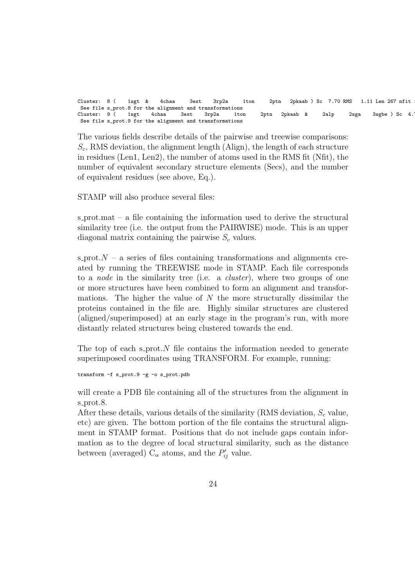Cluster: 8 ( 1sgt & 4chaa 3est 3rp2a 1ton 2ptn 2pkaab ) Sc 7.70 RMS 1.11 Len 267 nfit See file s\_prot.8 for the alignment and transformations<br>Cluster: 9 ( 1sgt 4chaa 3est 3rp2a 1to Cluster:  $9$  ( 1sgt 4chaa 3est 3rp2a 1ton 2ptn 2pkaab & 2alp 2sga 3sgbe ) Sc 4. See file s\_prot.9 for the alignment and transformations

The various fields describe details of the pairwise and treewise comparisons:  $S_c$ , RMS deviation, the alignment length (Align), the length of each structure in residues (Len1, Len2), the number of atoms used in the RMS fit (Nfit), the number of equivalent secondary structure elements (Secs), and the number of equivalent residues (see above, Eq.).

STAMP will also produce several files:

s prot.mat – a file containing the information used to derive the structural similarity tree (i.e. the output from the PAIRWISE) mode. This is an upper diagonal matrix containing the pairwise  $S_c$  values.

s prot. $N - a$  series of files containing transformations and alignments created by running the TREEWISE mode in STAMP. Each file corresponds to a *node* in the similarity tree (i.e. a *cluster*), where two groups of one or more structures have been combined to form an alignment and transformations. The higher the value of  $N$  the more structurally dissimilar the proteins contained in the file are. Highly similar structures are clustered (aligned/superimposed) at an early stage in the program's run, with more distantly related structures being clustered towards the end.

The top of each s\_prot. $N$  file contains the information needed to generate superimposed coordinates using TRANSFORM. For example, running:

transform -f s\_prot.9 -g -o s\_prot.pdb

will create a PDB file containing all of the structures from the alignment in s\_prot.8.

After these details, various details of the similarity (RMS deviation,  $S_c$  value, etc) are given. The bottom portion of the file contains the structural alignment in STAMP format. Positions that do not include gaps contain information as to the degree of local structural similarity, such as the distance between (averaged)  $C_{\alpha}$  atoms, and the  $P'_{ij}$  value.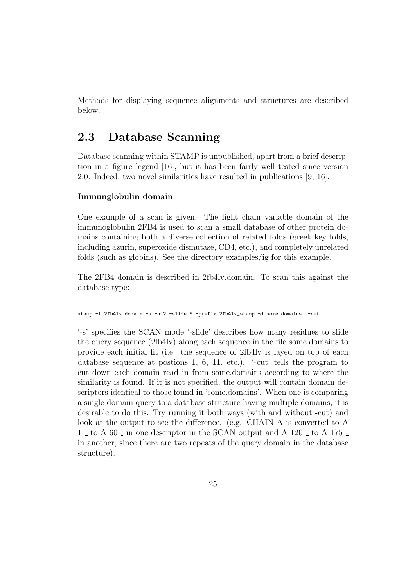Methods for displaying sequence alignments and structures are described below.

### 2.3 Database Scanning

Database scanning within STAMP is unpublished, apart from a brief description in a figure legend [16], but it has been fairly well tested since version 2.0. Indeed, two novel similarities have resulted in publications [9, 16].

#### Immunglobulin domain

One example of a scan is given. The light chain variable domain of the immunoglobulin 2FB4 is used to scan a small database of other protein domains containing both a diverse collection of related folds (greek key folds, including azurin, superoxide dismutase, CD4, etc.), and completely unrelated folds (such as globins). See the directory examples/ig for this example.

The 2FB4 domain is described in 2fb4lv.domain. To scan this against the database type:

stamp -l 2fb4lv.domain -s -n 2 -slide 5 -prefix 2fb4lv\_stamp -d some.domains -cut

'-s' specifies the SCAN mode '-slide' describes how many residues to slide the query sequence (2fb4lv) along each sequence in the file some.domains to provide each initial fit (i.e. the sequence of 2fb4lv is layed on top of each database sequence at postions 1, 6, 11, etc.). '-cut' tells the program to cut down each domain read in from some.domains according to where the similarity is found. If it is not specified, the output will contain domain descriptors identical to those found in 'some.domains'. When one is comparing a single-domain query to a database structure having multiple domains, it is desirable to do this. Try running it both ways (with and without -cut) and look at the output to see the difference. (e.g. CHAIN A is converted to A  $1$  to A 60 in one descriptor in the SCAN output and A 120 it of A 175 is in another, since there are two repeats of the query domain in the database structure).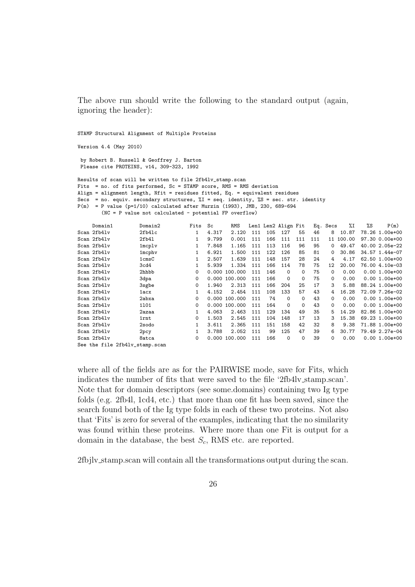The above run should write the following to the standard output (again, ignoring the header):

STAMP Structural Alignment of Multiple Proteins

Version 4.4 (May 2010)

by Robert B. Russell & Geoffrey J. Barton Please cite PROTEINS, v14, 309-323, 1992

Results of scan will be written to file 2fb4lv\_stamp.scan Fits = no. of fits performed,  $Sc = STAMP$  score,  $RMS = RMS$  deviation Align = alignment length, Nfit = residues fitted, Eq. = equivalent residues Secs = no. equiv. secondary structures, %I = seq. identity, %S = sec. str. identity  $P(m) = P$  value (p=1/10) calculated after Murzin (1993), JMB, 230, 689-694 (NC = P value not calculated - potential FP overflow)

| Domain1                        | Domain2          | Fits | Sc    | RMS           |     |     | Len1 Len2 Align Fit |          |     | Eq. Secs | %Ι        | %S | P(m)           |
|--------------------------------|------------------|------|-------|---------------|-----|-----|---------------------|----------|-----|----------|-----------|----|----------------|
| Scan 2fb4lv                    | 2fb41c           | 1    | 4.317 | 2.120         | 111 | 105 | 127                 | 55       | 46  | 8        | 10.87     |    | 78.26 1.00e+00 |
| Scan 2fb4lv                    | 2fb41            | 1    | 9.799 | 0.001         | 111 | 166 | 111                 | 111      | 111 |          | 11 100.00 |    | 97.30 0.00e+00 |
| Scan 2fb4lv                    | 1mcp1v           | 1    | 7.848 | 1.165         | 111 | 113 | 116                 | 96       | 95  | $\Omega$ | 49.47     |    | 40.00 2.05e-22 |
| Scan 2fb4lv                    | 1mcphv           |      | 6.921 | 1.500         | 111 | 122 | 126                 | 85       | 81  | 0        | 30.86     |    | 34.57 1.44e-07 |
| Scan 2fb4lv                    | 1 <sub>cms</sub> |      | 2.507 | 1.639         | 111 | 148 | 157                 | 28       | 24  | 4        | 4.17      |    | 62.50 1.00e+00 |
| Scan 2fb4lv                    | 3cd4             |      | 5.939 | 1.334         | 111 | 166 | 114                 | 78       | 75  | 12       | 20.00     |    | 76.00 4.10e-03 |
| Scan 2fb4lv                    | 2hhbb            | 0    |       | 0.000 100.000 | 111 | 146 | $\Omega$            | $\Omega$ | 75  | $\Omega$ | 0.00      |    | $0.001.00e+00$ |
| Scan 2fb4lv                    | 3dpa             | 0    |       | 0.000 100.000 | 111 | 166 | $\Omega$            | $\Omega$ | 75  | 0        | 0.00      |    | $0.001.00e+00$ |
| Scan 2fb4lv                    | 3sgbe            | 0    | 1.940 | 2.313         | 111 | 166 | 204                 | 25       | 17  | 3        | 5.88      |    | 88.24 1.00e+00 |
| Scan 2fb4lv                    | 1acx             |      | 4.152 | 2.454         | 111 | 108 | 133                 | 57       | 43  | 4        | 16.28     |    | 72.09 7.26e-02 |
| Scan 2fb4lv                    | 2abxa            | 0    |       | 0.000 100.000 | 111 | 74  | $\Omega$            | $\Omega$ | 43  | 0        | 0.00      |    | $0.001.00e+00$ |
| Scan 2fb4lv                    | 1101             | 0    | 0.000 | 100.000       | 111 | 164 | $\Omega$            | $\Omega$ | 43  | 0        | 0.00      |    | $0.001.00e+00$ |
| Scan 2fb4lv                    | 2azaa            |      | 4.063 | 2.463         | 111 | 129 | 134                 | 49       | 35  | 5.       | 14.29     |    | 82.86 1.00e+00 |
| Scan 2fb4lv                    | 1rnt             | 0    | 1.503 | 2.545         | 111 | 104 | 148                 | 17       | 13  | 3        | 15.38     |    | 69.23 1.00e+00 |
| Scan 2fb4lv                    | 2sodo            |      | 3.611 | 2.365         | 111 | 151 | 158                 | 42       | 32  | 8        | 9.38      |    | 71.88 1.00e+00 |
| Scan 2fb4lv                    | 2pcy             |      | 3.788 | 2.052         | 111 | 99  | 125                 | 47       | 39  | 6.       | 30.77     |    | 79.49 2.27e-04 |
| Scan 2fb4lv                    | 8atca            | 0    | 0.000 | 100,000       | 111 | 166 | 0                   | 0        | 39  | 0        | 0.00      |    | $0.001.00e+00$ |
| See the file 2fb4lv_stamp.scan |                  |      |       |               |     |     |                     |          |     |          |           |    |                |

where all of the fields are as for the PAIRWISE mode, save for Fits, which indicates the number of fits that were saved to the file '2fb4lv stamp.scan'. Note that for domain descriptors (see some.domains) containing two Ig type folds (e.g. 2fb4l, 1cd4, etc.) that more than one fit has been saved, since the search found both of the Ig type folds in each of these two proteins. Not also that 'Fits' is zero for several of the examples, indicating that the no similarity was found within these proteins. Where more than one Fit is output for a domain in the database, the best  $S_c$ , RMS etc. are reported.

2fbjlv stamp.scan will contain all the transformations output during the scan.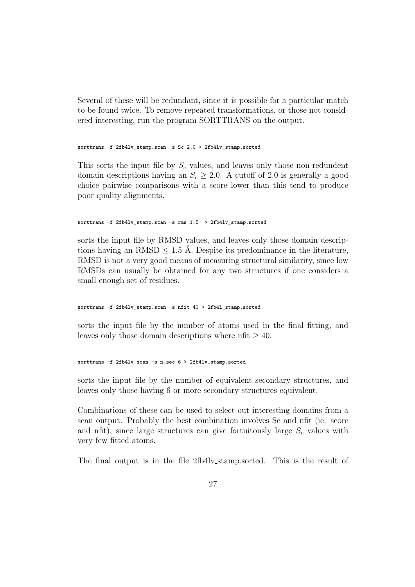Several of these will be redundant, since it is possible for a particular match to be found twice. To remove repeated transformations, or those not considered interesting, run the program SORTTRANS on the output.

sorttrans -f 2fb4lv\_stamp.scan -s Sc 2.0 > 2fb4lv\_stamp.sorted

This sorts the input file by  $S_c$  values, and leaves only those non-redundent domain descriptions having an  $S_c \geq 2.0$ . A cutoff of 2.0 is generally a good choice pairwise comparisons with a score lower than this tend to produce poor quality alignments.

sorttrans -f 2fb4lv\_stamp.scan -s rms 1.5 > 2fb4lv\_stamp.sorted

sorts the input file by RMSD values, and leaves only those domain descriptions having an RMSD  $\leq$  1.5 Å. Despite its predominance in the literature, RMSD is not a very good means of measuring structural similarity, since low RMSDs can usually be obtained for any two structures if one considers a small enough set of residues.

```
sorttrans -f 2fb4lv_stamp.scan -s nfit 40 > 2fb4l_stamp.sorted
```
sorts the input file by the number of atoms used in the final fitting, and leaves only those domain descriptions where nfit  $\geq 40$ .

```
sorttrans -f 2fb4lv.scan -s n_sec 6 > 2fb4lv_stamp.sorted
```
sorts the input file by the number of equivalent secondary structures, and leaves only those having 6 or more secondary structures equivalent.

Combinations of these can be used to select out interesting domains from a scan output. Probably the best combination involves Sc and nfit (ie. score and nfit), since large structures can give fortuitously large  $S_c$  values with very few fitted atoms.

The final output is in the file 2fb4lv stamp.sorted. This is the result of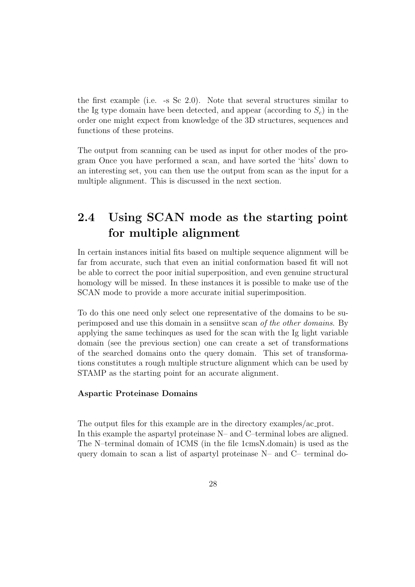the first example (i.e. -s Sc 2.0). Note that several structures similar to the Ig type domain have been detected, and appear (according to  $S_c$ ) in the order one might expect from knowledge of the 3D structures, sequences and functions of these proteins.

The output from scanning can be used as input for other modes of the program Once you have performed a scan, and have sorted the 'hits' down to an interesting set, you can then use the output from scan as the input for a multiple alignment. This is discussed in the next section.

## 2.4 Using SCAN mode as the starting point for multiple alignment

In certain instances initial fits based on multiple sequence alignment will be far from accurate, such that even an initial conformation based fit will not be able to correct the poor initial superposition, and even genuine structural homology will be missed. In these instances it is possible to make use of the SCAN mode to provide a more accurate initial superimposition.

To do this one need only select one representative of the domains to be superimposed and use this domain in a sensiitve scan of the other domains. By applying the same techinques as used for the scan with the Ig light variable domain (see the previous section) one can create a set of transformations of the searched domains onto the query domain. This set of transformations constitutes a rough multiple structure alignment which can be used by STAMP as the starting point for an accurate alignment.

#### Aspartic Proteinase Domains

The output files for this example are in the directory examples/ac prot. In this example the aspartyl proteinase N– and C–terminal lobes are aligned. The N–terminal domain of 1CMS (in the file 1cmsN.domain) is used as the query domain to scan a list of aspartyl proteinase N– and C– terminal do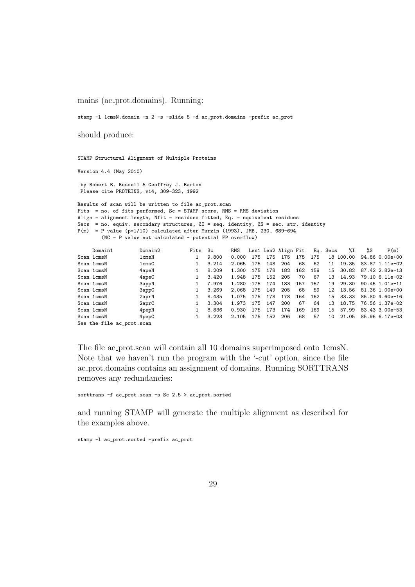mains (ac prot.domains). Running:

stamp -l 1cmsN.domain -n 2 -s -slide 5 -d ac\_prot.domains -prefix ac\_prot

should produce:

STAMP Structural Alignment of Multiple Proteins

Version 4.4 (May 2010)

by Robert B. Russell & Geoffrey J. Barton Please cite PROTEINS, v14, 309-323, 1992

Results of scan will be written to file ac\_prot.scan Fits = no. of fits performed,  $Sc = STAMP$  score, RMS = RMS deviation Align = alignment length, Nfit = residues fitted, Eq. = equivalent residues Secs = no. equiv. secondary structures,  $\sqrt[n]{1}$  = seq. identity,  $\sqrt[n]{S}$  = sec. str. identity  $P(m) = P$  value (p=1/10) calculated after Murzin (1993), JMB, 230, 689-694 (NC = P value not calculated - potential FP overflow)

|                           | Domain1    | Domain2           | Fits | Sc    | RMS   |     |     | Len1 Len2 Align Fit |     |     | Eq. Secs | %Ι        | %S | P(m)             |
|---------------------------|------------|-------------------|------|-------|-------|-----|-----|---------------------|-----|-----|----------|-----------|----|------------------|
|                           | Scan 1cmsN | 1 <sub>cmsN</sub> |      | 9.800 | 0.000 | 175 | 175 | 175                 | 175 | 175 |          | 18 100.00 |    | 94.86 0.00e+00   |
|                           | Scan 1cmsN | 1 <sub>cms</sub>  |      | 3.214 | 2.065 | 175 | 148 | 204                 | 68  | 62  | 11       | 19.35     |    | 83.87 1.11e-02   |
|                           | Scan 1cmsN | 4apeN             |      | 8.209 | 1.300 | 175 | 178 | 182                 | 162 | 159 | 15       | 30.82     |    | 87.42 2.82e-13   |
|                           | Scan 1cmsN | 4apeC             |      | 3.420 | 1.948 | 175 | 152 | 205                 | 70  | 67  | 13       | 14.93     |    | 79.10 6.11e-02   |
|                           | Scan 1cmsN | 3appN             |      | 7.976 | 1.280 | 175 | 174 | 183                 | 157 | 157 | 19       | 29.30     |    | $90.45$ 1.01e-11 |
|                           | Scan 1cmsN | 3appC             |      | 3.269 | 2.068 | 175 | 149 | 205                 | 68  | 59  | 12       | 13.56     |    | 81.36 1.00e+00   |
|                           | Scan 1cmsN | 2aprN             |      | 8.435 | 1.075 | 175 | 178 | 178                 | 164 | 162 | 15       | 33.33     |    | 85.80 4.60e-16   |
|                           | Scan 1cmsN | 2aprC             |      | 3.304 | 1.973 | 175 | 147 | 200                 | 67  | 64  | 13       | 18.75     |    | 76.56 1.37e-02   |
|                           | Scan 1cmsN | 4pepN             |      | 8.836 | 0.930 | 175 | 173 | 174                 | 169 | 169 | 15       | 57.99     |    | 83.43 3.00e-53   |
|                           | Scan 1cmsN | $4$ pep $C$       |      | 3.223 | 2.105 | 175 | 152 | 206                 | 68  | 57  | 10       | 21.05     |    | 85.96 6.17e-03   |
| See the file ac_prot.scan |            |                   |      |       |       |     |     |                     |     |     |          |           |    |                  |

The file ac prot.scan will contain all 10 domains superimposed onto 1cmsN. Note that we haven't run the program with the '-cut' option, since the file ac prot.domains contains an assignment of domains. Running SORTTRANS removes any redundancies:

sorttrans -f ac\_prot.scan -s Sc 2.5 > ac\_prot.sorted

and running STAMP will generate the multiple alignment as described for the examples above.

stamp -l ac\_prot.sorted -prefix ac\_prot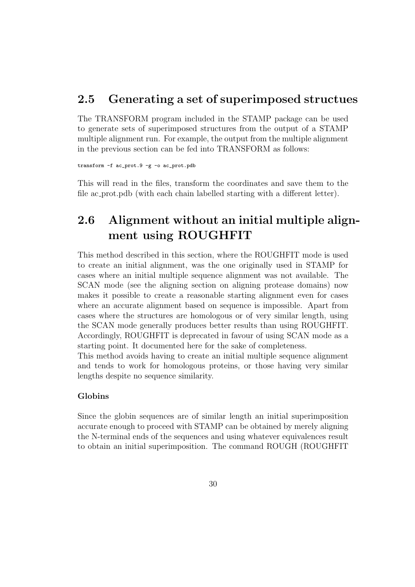### 2.5 Generating a set of superimposed structues

The TRANSFORM program included in the STAMP package can be used to generate sets of superimposed structures from the output of a STAMP multiple alignment run. For example, the output from the multiple alignment in the previous section can be fed into TRANSFORM as follows:

transform -f ac\_prot.9 -g -o ac\_prot.pdb

This will read in the files, transform the coordinates and save them to the file ac prot.pdb (with each chain labelled starting with a different letter).

# 2.6 Alignment without an initial multiple alignment using ROUGHFIT

This method described in this section, where the ROUGHFIT mode is used to create an initial alignment, was the one originally used in STAMP for cases where an initial multiple sequence alignment was not available. The SCAN mode (see the aligning section on aligning protease domains) now makes it possible to create a reasonable starting alignment even for cases where an accurate alignment based on sequence is impossible. Apart from cases where the structures are homologous or of very similar length, using the SCAN mode generally produces better results than using ROUGHFIT. Accordingly, ROUGHFIT is deprecated in favour of using SCAN mode as a starting point. It documented here for the sake of completeness.

This method avoids having to create an initial multiple sequence alignment and tends to work for homologous proteins, or those having very similar lengths despite no sequence similarity.

#### Globins

Since the globin sequences are of similar length an initial superimposition accurate enough to proceed with STAMP can be obtained by merely aligning the N-terminal ends of the sequences and using whatever equivalences result to obtain an initial superimposition. The command ROUGH (ROUGHFIT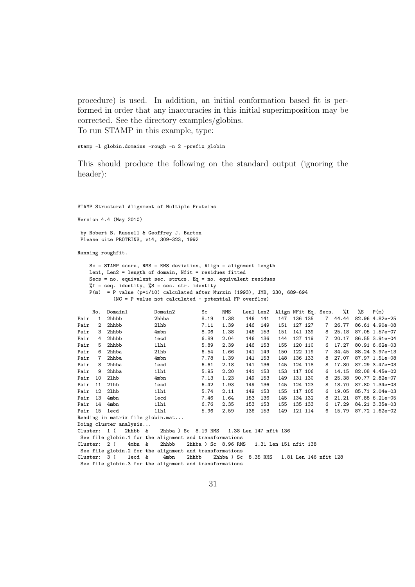procedure) is used. In addition, an initial conformation based fit is performed in order that any inaccuracies in this initial superimposition may be corrected. See the directory examples/globins. To run STAMP in this example, type:

stamp -1 globin.domains -rough -n 2 -prefix globin

This should produce the following on the standard output (ignoring the header):

STAMP Structural Alignment of Multiple Proteins

Version 4.4 (May 2010)

by Robert B. Russell & Geoffrey J. Barton Please cite PROTEINS, v14, 309-323, 1992

Running roughfit.

Sc = STAMP score, RMS = RMS deviation, Align = alignment length Len1, Len2 = length of domain, Nfit = residues fitted Secs = no. equivalent sec. strucs. Eq = no. equivalent residues  $\sqrt[6]{1}$  = seq. identity,  $\sqrt[6]{5}$  = sec. str. identity  $P(m) = P$  value ( $p=1/10$ ) calculated after Murzin (1993), JMB, 230, 689-694 (NC = P value not calculated - potential FP overflow) No. Domain1 Domain2 Sc RMS Len1 Len2 Align NFit Eq. Secs. %I %S P(m)<br>1 2hhbb 2hhba 8.19 1.38 146 141 147 136 135 7 44.44 82.96 4.82 Pair 1 2hhbb 2hhba 8.19 1.38 146 141 147 136 135 7 44.44 82.96 4.82e-25 Pair 2 2hhbb 2lhb 7.11 1.39 146 149 151 127 127 7 26.77 86.61 4.90e-08 Pair 3 2hhbb 4mbn 8.06 1.38 146 153 151 141 139 8 25.18 87.05 1.57e-07<br>Pair 4 2hhbb 1ecd 6.89 2.04 146 136 144 127 119 7 20.17 86.55 3.91e-04  $6.89$   $2.04$   $146$   $136$   $144$   $127$   $119$   $7$   $20.17$   $86.55$   $3.91e-04$ <br> $5.89$   $2.39$   $146$   $153$   $155$   $120$   $110$   $6$   $17.27$   $80.91$   $6.62e-03$ Pair 5 2hhbb 1lh1 5.89 2.39 146 153 155 120 110 6 17.27 80.91 6.62e-03 Pair 6 2hhba 2lhb 6.54 1.66 141 149 150 122 119 7 34.45 88.24 3.97e-13<br>Pair 7 2hhba 4mbn 7.78 1.39 141 153 148 136 133 8 27.07 87.97 1.51e-08 148 136 133 8 27.07 87.97 1.51e-08<br>145 124 118 8 17.80 87.29.3.47e-03 Pair 8 2hhba 1ecd 6.61 2.18 141 136 145 124 118 8 17.80 87.29 3.47e-03 Pair 9 2hhba 11h1 5.95 2.20 141 153 153 117 106 6 14.15 82.08 4.45e-02<br>Pair 10 21hb 4mbn 7.13 1.23 149 153 149 131 130 8 25.38 90.77 2.82e-07 Pair 10 2lhb 4mbn 7.13 1.23 149 153 149 131 130 8 25.38 90.77 2.82e-07 Pair 11 21hb 1ecd 6.42 1.93 149 136 145 124 123 8 18.70 87.80 1.34e-03<br>Pair 12 21hb 11h1 5.74 2.11 149 153 155 117 105 6 19.05 85.71 2.04e-03 Pair 12 2lhb 1lh1 5.74 2.11 149 153 155 117 105 6 19.05 85.71 2.04e-03 Pair 13 4mbn 1ecd 7.46 1.64 153 136 145 134 132 8 21.21 87.88 6.21e-05 Pair 14 4mbn 1lh1 6.76 2.35 153 153 155 135 133 6 17.29 84.21 3.35e-03 Pair 15 1ecd 1lh1 5.96 2.59 136 153 149 121 114 6 15.79 87.72 1.62e-02 Reading in matrix file globin.mat... Doing cluster analysis...<br>Cluster: 1 ( 2hhbb & 2hhba ) Sc 8.19 RMS 1.38 Len 147 nfit 136 See file globin.1 for the alignment and transformations<br>Cluster: 2 ( 4mbn & 2hhbb 2hhba ) Sc 8.96 RM Cluster: 2 ( 4mbn & 2hhbb 2hhba ) Sc 8.96 RMS 1.31 Len 151 nfit 138 See file globin.2 for the alignment and transformations Cluster:  $3$  (  $1$ ecd  $\&$  4mbn 2hhbb 2hhba  $)$  Sc  $8.35$  RMS  $1.81$  Len 146 nfit 128 See file globin.3 for the alignment and transformations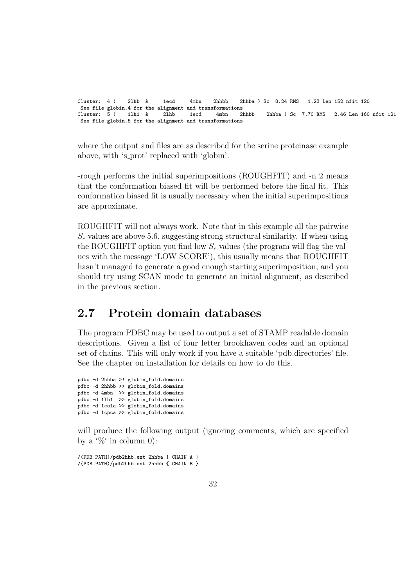Cluster: 4 ( 2lhb & 1ecd 4mbn 2hhbb 2hhba ) Sc 8.24 RMS 1.23 Len 152 nfit 120 See file globin.4 for the alignment and transformations<br>Cluster:  $5(1)$  11h1  $\ell$  21hb 1ecd 4mbn 2hbbb Cluster: 5 ( 1lh1 & 2lhb 1ecd 4mbn 2hhbb 2hhba ) Sc 7.70 RMS 2.46 Len 160 nfit 121 See file globin.5 for the alignment and transformations

where the output and files are as described for the serine proteinase example above, with 's prot' replaced with 'globin'.

-rough performs the initial superimpositions (ROUGHFIT) and -n 2 means that the conformation biased fit will be performed before the final fit. This conformation biased fit is usually necessary when the initial superimpositions are approximate.

ROUGHFIT will not always work. Note that in this example all the pairwise  $S_c$  values are above 5.6, suggesting strong structural similarity. If when using the ROUGHFIT option you find low  $S_c$  values (the program will flag the values with the message 'LOW SCORE'), this usually means that ROUGHFIT hasn't managed to generate a good enough starting superimposition, and you should try using SCAN mode to generate an initial alignment, as described in the previous section.

### 2.7 Protein domain databases

The program PDBC may be used to output a set of STAMP readable domain descriptions. Given a list of four letter brookhaven codes and an optional set of chains. This will only work if you have a suitable 'pdb.directories' file. See the chapter on installation for details on how to do this.

pdbc -d 2hhba >! globin\_fold.domains pdbc -d 2hhbb >> globin\_fold.domains pdbc -d 4mbn >> globin\_fold.domains pdbc -d 1lh1 >> globin\_fold.domains pdbc -d 1cola >> globin\_fold.domains pdbc -d 1cpca >> globin\_fold.domains

will produce the following output (ignoring comments, which are specified by a  $\mathcal{C}$  in column 0):

/(PDB PATH)/pdb2hhb.ent 2hhba { CHAIN A } /(PDB PATH)/pdb2hhb.ent 2hhbb { CHAIN B }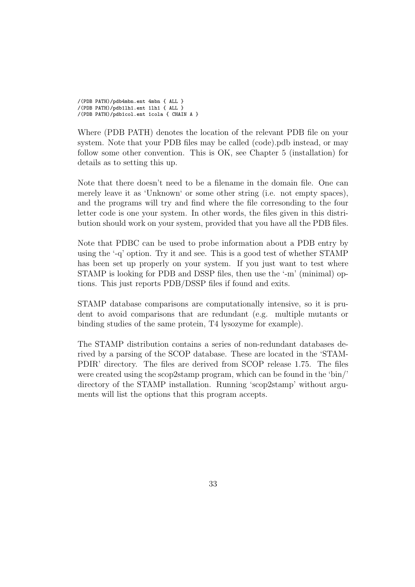/(PDB PATH)/pdb4mbn.ent 4mbn { ALL } /(PDB PATH)/pdb1lh1.ent 1lh1 { ALL } /(PDB PATH)/pdb1col.ent 1cola { CHAIN A }

Where (PDB PATH) denotes the location of the relevant PDB file on your system. Note that your PDB files may be called (code).pdb instead, or may follow some other convention. This is OK, see Chapter 5 (installation) for details as to setting this up.

Note that there doesn't need to be a filename in the domain file. One can merely leave it as 'Unknown' or some other string (i.e. not empty spaces), and the programs will try and find where the file corresonding to the four letter code is one your system. In other words, the files given in this distribution should work on your system, provided that you have all the PDB files.

Note that PDBC can be used to probe information about a PDB entry by using the '-q' option. Try it and see. This is a good test of whether STAMP has been set up properly on your system. If you just want to test where STAMP is looking for PDB and DSSP files, then use the '-m' (minimal) options. This just reports PDB/DSSP files if found and exits.

STAMP database comparisons are computationally intensive, so it is prudent to avoid comparisons that are redundant (e.g. multiple mutants or binding studies of the same protein, T4 lysozyme for example).

The STAMP distribution contains a series of non-redundant databases derived by a parsing of the SCOP database. These are located in the 'STAM-PDIR' directory. The files are derived from SCOP release 1.75. The files were created using the scop2stamp program, which can be found in the 'bin/' directory of the STAMP installation. Running 'scop2stamp' without arguments will list the options that this program accepts.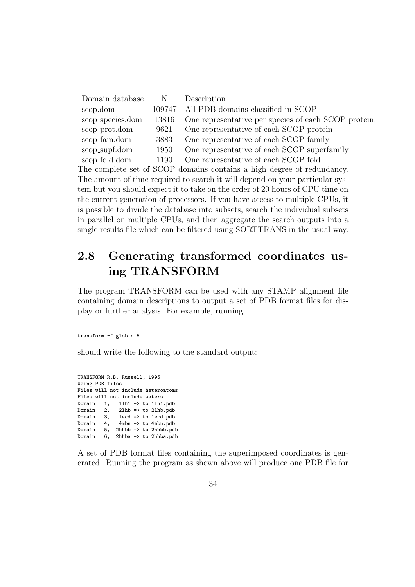| Domain database                                                                | N      | Description                                                                  |  |  |  |  |  |
|--------------------------------------------------------------------------------|--------|------------------------------------------------------------------------------|--|--|--|--|--|
| scop.dom                                                                       | 109747 | All PDB domains classified in SCOP                                           |  |  |  |  |  |
| scop_species.dom                                                               | 13816  | One representative per species of each SCOP protein.                         |  |  |  |  |  |
| scop_prot.dom                                                                  | 9621   | One representative of each SCOP protein                                      |  |  |  |  |  |
| scop_fam.dom                                                                   | 3883   | One representative of each SCOP family                                       |  |  |  |  |  |
| scop_supf.dom                                                                  | 1950   | One representative of each SCOP superfamily                                  |  |  |  |  |  |
| scop_fold.dom                                                                  | 1190   | One representative of each SCOP fold                                         |  |  |  |  |  |
|                                                                                |        | The complete set of SCOP domains contains a high degree of redundancy.       |  |  |  |  |  |
|                                                                                |        | The amount of time required to search it will depend on your particular sys- |  |  |  |  |  |
|                                                                                |        | tem but you should expect it to take on the order of 20 hours of CPU time on |  |  |  |  |  |
| the current generation of processors. If you have access to multiple CPUs, it  |        |                                                                              |  |  |  |  |  |
| is possible to divide the database into subsets, search the individual subsets |        |                                                                              |  |  |  |  |  |
| in parallel on multiple CPUs, and then aggregate the search outputs into a     |        |                                                                              |  |  |  |  |  |
| single results file which can be filtered using SORTTRANS in the usual way.    |        |                                                                              |  |  |  |  |  |
|                                                                                |        |                                                                              |  |  |  |  |  |

## 2.8 Generating transformed coordinates using TRANSFORM

The program TRANSFORM can be used with any STAMP alignment file containing domain descriptions to output a set of PDB format files for display or further analysis. For example, running:

transform -f globin.5

should write the following to the standard output:

TRANSFORM R.B. Russell, 1995 Using PDB files Files will not include heteroatoms Files will not include waters Domain 1, 1lh1 => to 1lh1.pdb Domain 2, 2lhb => to 2lhb.pdb Domain  $3$ , 1ecd => to 1ecd.pdb Domain 4, 4mbn => to 4mbn.pdb Domain 5, 2hhbb => to 2hhbb.pdb Domain 6, 2hhba => to 2hhba.pdb

A set of PDB format files containing the superimposed coordinates is generated. Running the program as shown above will produce one PDB file for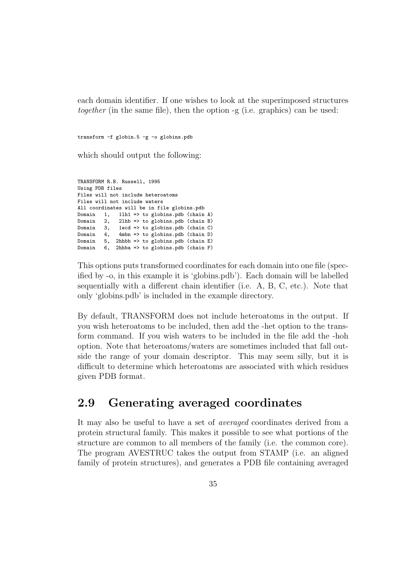each domain identifier. If one wishes to look at the superimposed structures together (in the same file), then the option -g (i.e. graphics) can be used:

transform -f globin.5 -g -o globins.pdb

which should output the following:

```
TRANSFORM R.B. Russell, 1995
Using PDB files
Files will not include heteroatoms
Files will not include waters
All coordinates will be in file globins.pdb
Domain 1, 1lh1 => to globins.pdb (chain A)
Domain 2, 21hb => to globins.pdb (chain B)<br>Domain 3, 1ecd => to globins.pdb (chain C)
Domain 3, 1ecd => to globins.pdb (chain C)
Domain 4, 4mbn => to globins.pdb (chain D)<br>Domain 5. 2hhbb => to globins.pdb (chain E)
         \overline{5}, 2hhbb => to globins.pdb (chain E)
Domain 6, 2hhba => to globins.pdb (chain F)
```
This options puts transformed coordinates for each domain into one file (specified by -o, in this example it is 'globins.pdb'). Each domain will be labelled sequentially with a different chain identifier (i.e. A, B, C, etc.). Note that only 'globins.pdb' is included in the example directory.

By default, TRANSFORM does not include heteroatoms in the output. If you wish heteroatoms to be included, then add the -het option to the transform command. If you wish waters to be included in the file add the -hoh option. Note that heteroatoms/waters are sometimes included that fall outside the range of your domain descriptor. This may seem silly, but it is difficult to determine which heteroatoms are associated with which residues given PDB format.

### 2.9 Generating averaged coordinates

It may also be useful to have a set of averaged coordinates derived from a protein structural family. This makes it possible to see what portions of the structure are common to all members of the family (i.e. the common core). The program AVESTRUC takes the output from STAMP (i.e. an aligned family of protein structures), and generates a PDB file containing averaged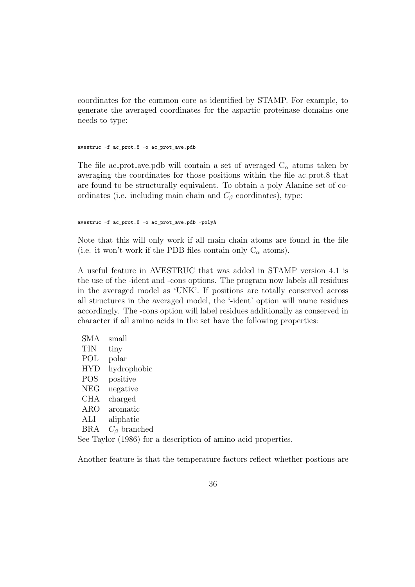coordinates for the common core as identified by STAMP. For example, to generate the averaged coordinates for the aspartic proteinase domains one needs to type:

avestruc -f ac\_prot.8 -o ac\_prot\_ave.pdb

The file ac prot ave.pdb will contain a set of averaged  $C_{\alpha}$  atoms taken by averaging the coordinates for those positions within the file ac prot.8 that are found to be structurally equivalent. To obtain a poly Alanine set of coordinates (i.e. including main chain and  $C_\beta$  coordinates), type:

avestruc -f ac\_prot.8 -o ac\_prot\_ave.pdb -polyA

Note that this will only work if all main chain atoms are found in the file (i.e. it won't work if the PDB files contain only  $C_{\alpha}$  atoms).

A useful feature in AVESTRUC that was added in STAMP version 4.1 is the use of the -ident and -cons options. The program now labels all residues in the averaged model as 'UNK'. If positions are totally conserved across all structures in the averaged model, the '-ident' option will name residues accordingly. The -cons option will label residues additionally as conserved in character if all amino acids in the set have the following properties:

| <b>SMA</b>                                                    | small                |  |  |  |
|---------------------------------------------------------------|----------------------|--|--|--|
| <b>TIN</b>                                                    | tiny                 |  |  |  |
| POL                                                           | polar                |  |  |  |
| <b>HYD</b>                                                    | hydrophobic          |  |  |  |
| POS                                                           | positive             |  |  |  |
| <b>NEG</b>                                                    | negative             |  |  |  |
| <b>CHA</b>                                                    | charged              |  |  |  |
| ARO                                                           | aromatic             |  |  |  |
| ALI                                                           | aliphatic            |  |  |  |
| BRA                                                           | $C_{\beta}$ branched |  |  |  |
| See Taylor (1986) for a description of amino acid properties. |                      |  |  |  |

Another feature is that the temperature factors reflect whether postions are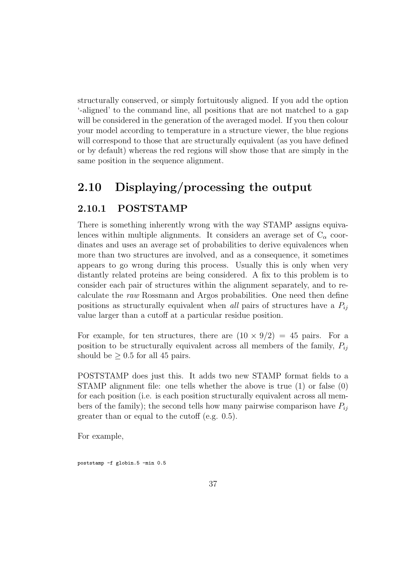structurally conserved, or simply fortuitously aligned. If you add the option '-aligned' to the command line, all positions that are not matched to a gap will be considered in the generation of the averaged model. If you then colour your model according to temperature in a structure viewer, the blue regions will correspond to those that are structurally equivalent (as you have defined or by default) whereas the red regions will show those that are simply in the same position in the sequence alignment.

# 2.10 Displaying/processing the output

## 2.10.1 POSTSTAMP

There is something inherently wrong with the way STAMP assigns equivalences within multiple alignments. It considers an average set of  $C_{\alpha}$  coordinates and uses an average set of probabilities to derive equivalences when more than two structures are involved, and as a consequence, it sometimes appears to go wrong during this process. Usually this is only when very distantly related proteins are being considered. A fix to this problem is to consider each pair of structures within the alignment separately, and to recalculate the raw Rossmann and Argos probabilities. One need then define positions as structurally equivalent when all pairs of structures have a  $P_{ij}$ value larger than a cutoff at a particular residue position.

For example, for ten structures, there are  $(10 \times 9/2) = 45$  pairs. For a position to be structurally equivalent across all members of the family,  $P_{ij}$ should be  $\geq 0.5$  for all 45 pairs.

POSTSTAMP does just this. It adds two new STAMP format fields to a STAMP alignment file: one tells whether the above is true (1) or false (0) for each position (i.e. is each position structurally equivalent across all members of the family); the second tells how many pairwise comparison have  $P_{ij}$ greater than or equal to the cutoff (e.g. 0.5).

For example,

poststamp -f globin.5 -min 0.5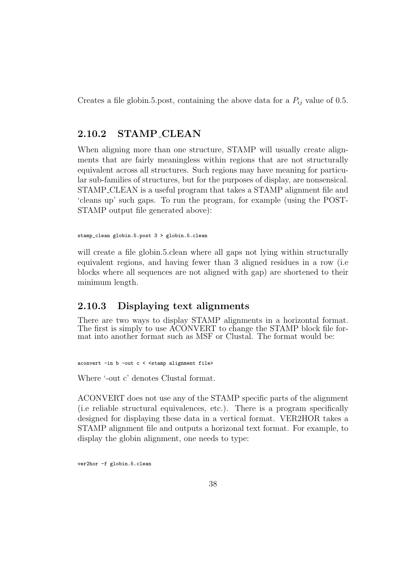Creates a file globin.5.post, containing the above data for a  $P_{ij}$  value of 0.5.

## 2.10.2 STAMP CLEAN

When aligning more than one structure, STAMP will usually create alignments that are fairly meaningless within regions that are not structurally equivalent across all structures. Such regions may have meaning for particular sub-families of structures, but for the purposes of display, are nonsensical. STAMP CLEAN is a useful program that takes a STAMP alignment file and 'cleans up' such gaps. To run the program, for example (using the POST-STAMP output file generated above):

stamp\_clean globin.5.post 3 > globin.5.clean

will create a file globin.5.clean where all gaps not lying within structurally equivalent regions, and having fewer than 3 aligned residues in a row (i.e blocks where all sequences are not aligned with gap) are shortened to their minimum length.

## 2.10.3 Displaying text alignments

There are two ways to display STAMP alignments in a horizontal format. The first is simply to use ACONVERT to change the STAMP block file format into another format such as MSF or Clustal. The format would be:

aconvert -in b -out c < <stamp alignment file>

Where '-out c' denotes Clustal format.

ACONVERT does not use any of the STAMP specific parts of the alignment (i.e reliable structural equivalences, etc.). There is a program specifically designed for displaying these data in a vertical format. VER2HOR takes a STAMP alignment file and outputs a horizonal text format. For example, to display the globin alignment, one needs to type:

ver2hor -f globin.5.clean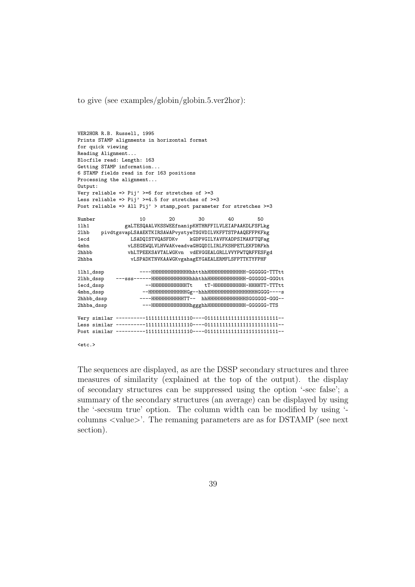to give (see examples/globin/globin.5.ver2hor):

```
VER2HOR R.B. Russell, 1995
Prints STAMP alignments in horizontal format
for quick viewing
Reading Alignment...
Blocfile read: Length: 163
Getting STAMP information...
6 STAMP fields read in for 163 positions
Processing the alignment...
Output:
Very reliable => Pij' >=6 for stretches of >=3
Less reliable => Pij' >=4.5 for stretches of >=3
Post reliable => All Pij' > stamp_post parameter for stretches >=3
Number 10 20 30 40 50
1lh1 gaLTESQAALVKSSWEEfnanipKHTHRFFILVLEIAPAAKDLFSFLkg
2lhb pivdtgsvapLSAAEKTKIRSAWAPvystyeTSGVDILVKFFTSTPAAQEFFPKFkg
                                 kGDPVGILYAVFKADPSIMAKFTQFag
4mbn vLSEGEWQLVLHVWAKveadvaGHGQDILIRLFKSHPETLEKFDRFkh
               vhLTPEEKSAVTALWGKvn vdEVGGEALGRLLVVYPWTQRFFESFgd
2hhba vLSPADKTNVKAAWGKvgahagEYGAEALERMFLSFPTTKTYFPHF
1lh1_dssp ----HHHHHHHHHHHHHhhtthhHHHHHHHHHHHHH-GGGGGG-TTTtt
2lhb_dssp ---sss------HHHHHHHHHHHHHhhhthhHHHHHHHHHHHHH-GGGGGG-GGGtt
                                       tT-ННННННННННННН-ННННTT-TTTtt
4mbn_dssp --HHHHHHHHHHHHHGg--hhhHHHHHHHHHHHHHHHHHGGGG----s
2hhbb_dssp ----HHHHHHHHHHHTT-- hhHHHHHHHHHHHHHSGGGGGG-GGG--
2hhba_dssp ---HHHHHHHHHHHHHhggghhHHHHHHHHHHHHH-GGGGGG-TTS
Very similar ----------1111111111111110----0111111111111111111111111--
Less similar ----------1111111111111110----0111111111111111111111111--
Post similar ----------1111111111111110----0111111111111111111111111--
```

```
<sub>etc.</sub></sub>
```
The sequences are displayed, as are the DSSP secondary structures and three measures of similarity (explained at the top of the output). the display of secondary structures can be suppressed using the option '-sec false'; a summary of the secondary structures (an average) can be displayed by using the '-secsum true' option. The column width can be modified by using ' columns <value>'. The remaning parameters are as for DSTAMP (see next section).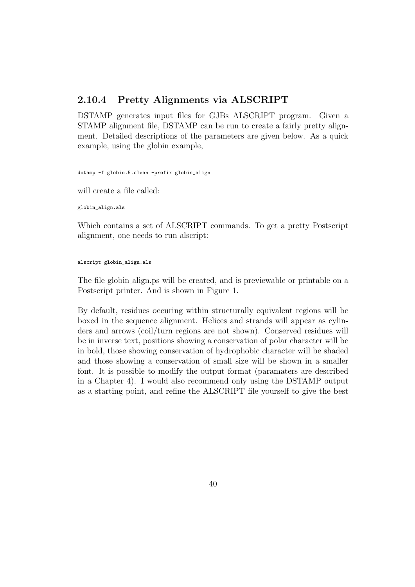### 2.10.4 Pretty Alignments via ALSCRIPT

DSTAMP generates input files for GJBs ALSCRIPT program. Given a STAMP alignment file, DSTAMP can be run to create a fairly pretty alignment. Detailed descriptions of the parameters are given below. As a quick example, using the globin example,

dstamp -f globin.5.clean -prefix globin\_align

will create a file called:

globin\_align.als

Which contains a set of ALSCRIPT commands. To get a pretty Postscript alignment, one needs to run alscript:

alscript globin\_align.als

The file globin align.ps will be created, and is previewable or printable on a Postscript printer. And is shown in Figure 1.

By default, residues occuring within structurally equivalent regions will be boxed in the sequence alignment. Helices and strands will appear as cylinders and arrows (coil/turn regions are not shown). Conserved residues will be in inverse text, positions showing a conservation of polar character will be in bold, those showing conservation of hydrophobic character will be shaded and those showing a conservation of small size will be shown in a smaller font. It is possible to modify the output format (paramaters are described in a Chapter 4). I would also recommend only using the DSTAMP output as a starting point, and refine the ALSCRIPT file yourself to give the best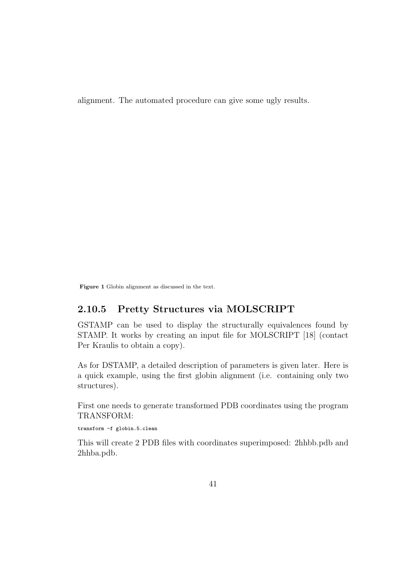alignment. The automated procedure can give some ugly results.

Figure 1 Globin alignment as discussed in the text.

## 2.10.5 Pretty Structures via MOLSCRIPT

GSTAMP can be used to display the structurally equivalences found by STAMP. It works by creating an input file for MOLSCRIPT [18] (contact Per Kraulis to obtain a copy).

As for DSTAMP, a detailed description of parameters is given later. Here is a quick example, using the first globin alignment (i.e. containing only two structures).

First one needs to generate transformed PDB coordinates using the program TRANSFORM:

transform -f globin.5.clean

This will create 2 PDB files with coordinates superimposed: 2hhbb.pdb and 2hhba.pdb.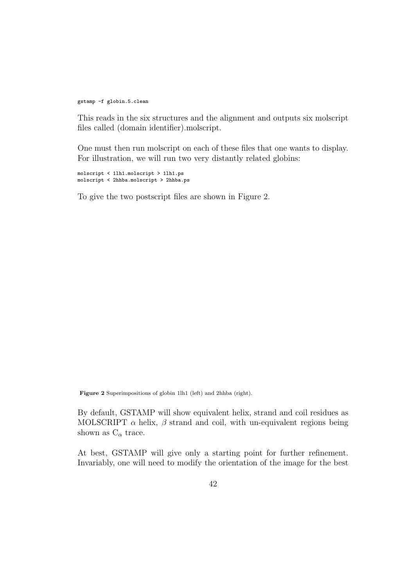gstamp -f globin.5.clean

This reads in the six structures and the alignment and outputs six molscript files called (domain identifier).molscript.

One must then run molscript on each of these files that one wants to display. For illustration, we will run two very distantly related globins:

molscript < 1lh1.molscript > 1lh1.ps molscript < 2hhba.molscript > 2hhba.ps

To give the two postscript files are shown in Figure 2.

Figure 2 Superimpositions of globin 1lh1 (left) and 2hhba (right).

By default, GSTAMP will show equivalent helix, strand and coil residues as MOLSCRIPT  $\alpha$  helix,  $\beta$  strand and coil, with un-equivalent regions being shown as  $\mathbf{C}_\alpha$  trace.

At best, GSTAMP will give only a starting point for further refinement. Invariably, one will need to modify the orientation of the image for the best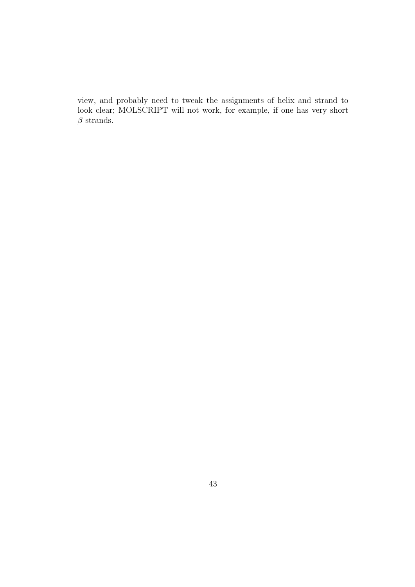view, and probably need to tweak the assignments of helix and strand to look clear; MOLSCRIPT will not work, for example, if one has very short  $\beta$  strands.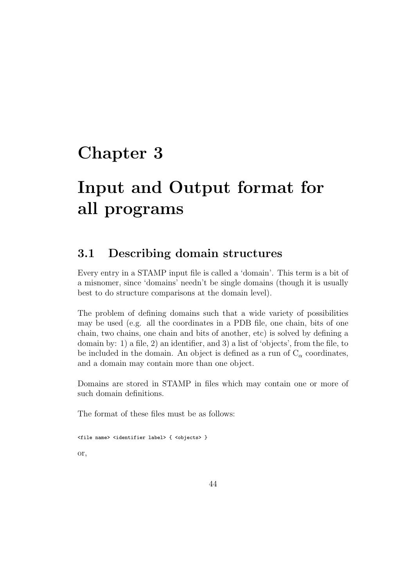# Chapter 3

# Input and Output format for all programs

# 3.1 Describing domain structures

Every entry in a STAMP input file is called a 'domain'. This term is a bit of a misnomer, since 'domains' needn't be single domains (though it is usually best to do structure comparisons at the domain level).

The problem of defining domains such that a wide variety of possibilities may be used (e.g. all the coordinates in a PDB file, one chain, bits of one chain, two chains, one chain and bits of another, etc) is solved by defining a domain by: 1) a file, 2) an identifier, and 3) a list of 'objects', from the file, to be included in the domain. An object is defined as a run of  $C_{\alpha}$  coordinates, and a domain may contain more than one object.

Domains are stored in STAMP in files which may contain one or more of such domain definitions.

The format of these files must be as follows:

```
<file name> <identifier label> { <objects> }
or,
```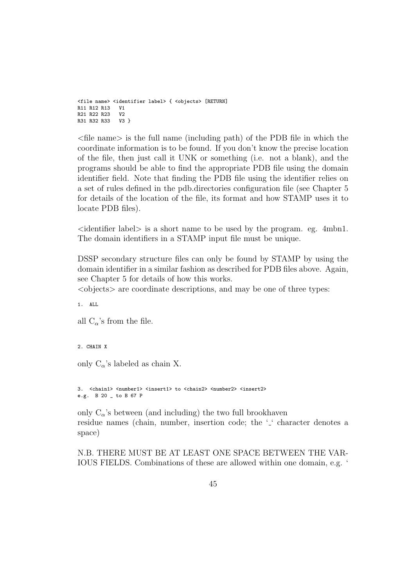```
<file name> <identifier label> { <objects> [RETURN]
R11 R12 R13 V1
R21 R22 R23 V2<br>R31 R32 R33 V3 }
R31 R32 R33
```
 $\langle$  file name is the full name (including path) of the PDB file in which the coordinate information is to be found. If you don't know the precise location of the file, then just call it UNK or something (i.e. not a blank), and the programs should be able to find the appropriate PDB file using the domain identifier field. Note that finding the PDB file using the identifier relies on a set of rules defined in the pdb.directories configuration file (see Chapter 5 for details of the location of the file, its format and how STAMP uses it to locate PDB files).

 $\leq$  dentifier label $>$  is a short name to be used by the program. eg. 4mbn1. The domain identifiers in a STAMP input file must be unique.

DSSP secondary structure files can only be found by STAMP by using the domain identifier in a similar fashion as described for PDB files above. Again, see Chapter 5 for details of how this works.

 $\langle$ objects $\rangle$  are coordinate descriptions, and may be one of three types:

1. ALL

all  $C_{\alpha}$  's from the file.

2. CHAIN X

only  $C_{\alpha}$ 's labeled as chain X.

3. <chain1> <number1> <insert1> to <chain2> <number2> <insert2> e.g. B 20 \_ to B 67 P

only  $C_{\alpha}$ 's between (and including) the two full brookhaven residue names (chain, number, insertion code; the '<sub>-</sub>' character denotes a space)

N.B. THERE MUST BE AT LEAST ONE SPACE BETWEEN THE VAR-IOUS FIELDS. Combinations of these are allowed within one domain, e.g. '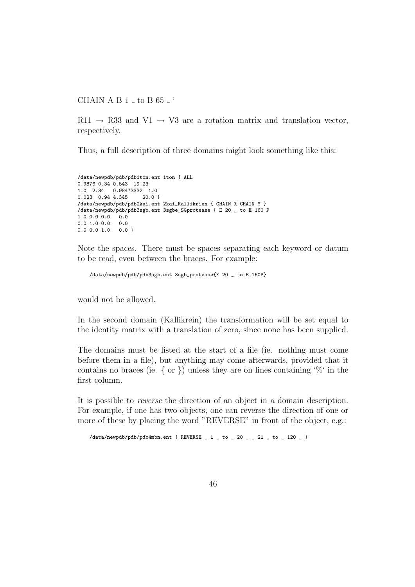CHAIN A B  $1$   $-$  to B  $65$   $-$  '

 $R11 \rightarrow R33$  and  $V1 \rightarrow V3$  are a rotation matrix and translation vector, respectively.

Thus, a full description of three domains might look something like this:

```
/data/newpdb/pdb/pdb1ton.ent 1ton { ALL
0.9876 0.34 0.543 19.23
1.0 2.34 0.98473332 1.0
0.023 0.94 4.345 20.0 }
/data/newpdb/pdb/pdb2kai.ent 2kai_Kallikrien { CHAIN X CHAIN Y }
/data/newpdb/pdb/pdb3sgb.ent 3sgbe_SGprotease { E 20 _ to E 160 P
1.0 0.0 0.0 0.0<br>0.0 1.0 0.0 0.0
0.0 1.0 0.00.0 0.0 1.0 0.0 }
```
Note the spaces. There must be spaces separating each keyword or datum to be read, even between the braces. For example:

```
/data/newpdb/pdb/pdb3sgb.ent 3sgb_protease{E 20 _ to E 160P}
```
would not be allowed.

In the second domain (Kallikrein) the transformation will be set equal to the identity matrix with a translation of zero, since none has been supplied.

The domains must be listed at the start of a file (ie. nothing must come before them in a file), but anything may come afterwards, provided that it contains no braces (ie.  $\{ \text{ or } \}$ ) unless they are on lines containing '%' in the first column.

It is possible to reverse the direction of an object in a domain description. For example, if one has two objects, one can reverse the direction of one or more of these by placing the word "REVERSE" in front of the object, e.g.:

/data/newpdb/pdb/pdb4mbn.ent { REVERSE  $\_$  1  $\_$  to  $\_$  20  $\_$   $\_$  21  $\_$  to  $\_$  120  $\_$  }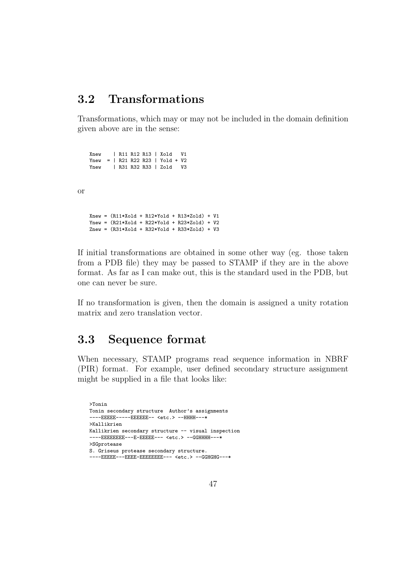# 3.2 Transformations

Transformations, which may or may not be included in the domain definition given above are in the sense:

Xnew | R11 R12 R13 | Xold V1 Ynew = | R21 R22 R23 | Yold + V2 Ynew | R31 R32 R33 | Zold V3

or

```
Xnew = (R11*Xold + R12*Yold + R13*Zold) + V1Ynew = (R21*Xold + R22*Yold + R23*Zold) + V2
Znew = (R31*Xold + R32*Yold + R33*Zold) + V3
```
If initial transformations are obtained in some other way (eg. those taken from a PDB file) they may be passed to STAMP if they are in the above format. As far as I can make out, this is the standard used in the PDB, but one can never be sure.

If no transformation is given, then the domain is assigned a unity rotation matrix and zero translation vector.

# 3.3 Sequence format

When necessary, STAMP programs read sequence information in NBRF (PIR) format. For example, user defined secondary structure assignment might be supplied in a file that looks like:

```
>Tonin
Tonin secondary structure Author's assignments
----EEEEE-----EEEEEE-- <etc.> --HHHH---*
>Kallikrien
Kallikrien secondary structure -- visual inspection
----EEEEEEEEE---E-EEEEE--- <etc.> --GGHHHH---*
>SGprotease
S. Griseus protease secondary structure.
----EEEEE---EEEE-EEEEEEEEE--- <etc.> --GGHGHG---*
```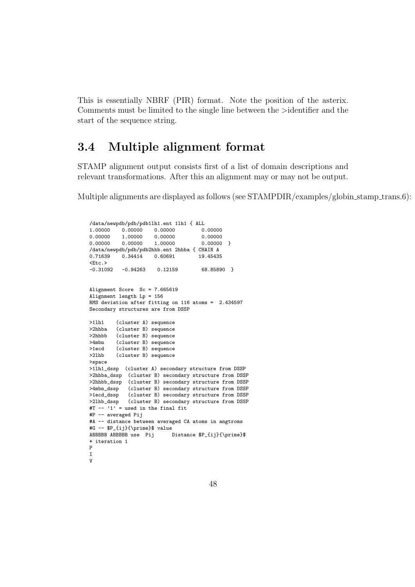This is essentially NBRF (PIR) format. Note the position of the asterix. Comments must be limited to the single line between the >identifier and the start of the sequence string.

# 3.4 Multiple alignment format

STAMP alignment output consists first of a list of domain descriptions and relevant transformations. After this an alignment may or may not be output.

Multiple alignments are displayed as follows (see  $STAMPDIR/examples/globin.stamp_trans.6)$ :

```
/data/newpdb/pdb/pdb1lh1.ent 1lh1 { ALL
1.00000 0.00000 0.00000 0.00000
0.00000 1.00000 0.00000<br>0.00000 0.00000 1.00000
                                             0.00000 }
/data/newpdb/pdb/pdb2hhb.ent 2hhba { CHAIN A
                        0.60691
<br>-0.31092-0.94263 0.12159 68.85890 }
Alignment Score Sc = 7.665619
Alignment length Lp = 156
RMS deviation after fitting on 116 atoms = 2.434597
Secondary structures are from DSSP
>11h1 (cluster A) sequence<br>>2hhba (cluster B) sequence
          (cluster B) sequence
>2hhbb (cluster B) sequence<br>>4mbn (cluster B) sequence
>4mbn (cluster B) sequence<br>>1ecd (cluster B) sequence
          (cluster B) sequence
>2lhb (cluster B) sequence
>space
>1lh1_dssp (cluster A) secondary structure from DSSP
>2hhba_dssp (cluster B) secondary structure from DSSP
>2hhbb_dssp (cluster B) secondary structure from DSSP
>4mbn_dssp (cluster B) secondary structure from DSSP<br>>1ecd_dssp (cluster B) secondary structure from DSSP
>1ecd_dssp (cluster B) secondary structure from DSSP<br>>21hb_dssp (cluster B) secondary structure from DSSP
              (cluster B) secondary structure from DSSP
*2+2+2+2+1<br>#T -- '1' = used in the final fit
#P -- averaged Pij
#A -- distance between averaged CA atoms in angtroms
#G -- $P_{ij}{\prime}$ value
                                Distance $P_{ij}{\prime}$
* iteration 1
P
I
V
```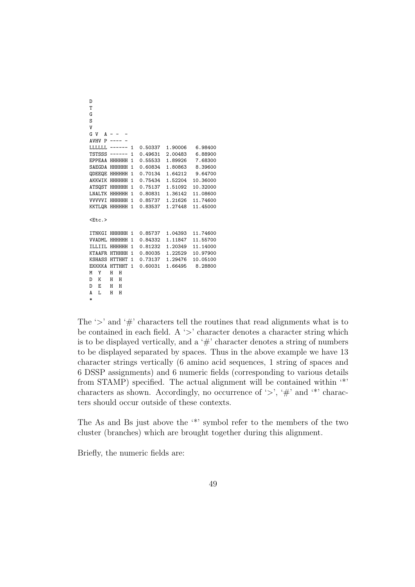```
D
T
G
S
V
G V A - -AVHV P ---- -
LLLLLL ------ 1 0.50337 1.90006 6.98400
TSTSSS ------ 1 0.49631 2.00483 6.88900
EPPEAA HHHHHH 1 0.55533 1.89926 7.68300
SAEGDA HHHHHH 1 0.60834 1.80863 8.39600<br>QDEEQE HHHHHH 1 0.70134 1.64212 9.64700
QDEEQE HHHHHH 1 0.70134 1.64212
AKKWIK HHHHHH 1 0.75434 1.52204 10.36000
ATSQST HHHHHH 1 0.75137 1.51092 10.32000<br>LNALTK HHHHHH 1 0.80831 1.36142 11.08600
LNALTK HHHHHH 1 0.80831 1.36142
VVVVVI HHHHHH 1 0.85737 1.21626 11.74600
KKTLQR HHHHHH 1 0.83537 1.27448 11.45000
\langleF+c >
ITNKGI HHHHHH 1 0.85737 1.04393 11.74600
VVADML HHHHHH 1 0.84332 1.11847 11.55700
ILLIIL HHHHHH 1 0.81232 1.20349
KTAAFR HTHHHH 1 0.80035 1.22529 10.97900
KSHASS HTTHHT 1 0.73137 1.29476 10.05100
EKKKKA HTTHHT 1 0.60031 1.66495 8.28800
M Y H H
D K H H
D E
A L H H
*
```
The ' $>$ ' and ' $\#$ ' characters tell the routines that read alignments what is to be contained in each field. A  $\geq$  character denotes a character string which is to be displayed vertically, and a  $\#$  character denotes a string of numbers to be displayed separated by spaces. Thus in the above example we have 13 character strings vertically (6 amino acid sequences, 1 string of spaces and 6 DSSP assignments) and 6 numeric fields (corresponding to various details from STAMP) specified. The actual alignment will be contained within '\*' characters as shown. Accordingly, no occurrence of ' $>$ ', ' $\#$ ' and '\*' characters should occur outside of these contexts.

The As and Bs just above the '\*' symbol refer to the members of the two cluster (branches) which are brought together during this alignment.

Briefly, the numeric fields are: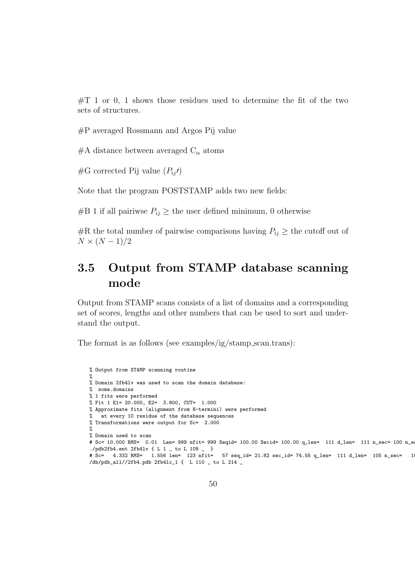$\#T$  1 or 0, 1 shows those residues used to determine the fit of the two sets of structures.

#P averaged Rossmann and Argos Pij value

#A distance between averaged  $C_{\alpha}$  atoms

 $\#G$  corrected Pij value  $(P_{ij})$ 

Note that the program POSTSTAMP adds two new fields:

#B 1 if all pairiwse  $P_{ij} \geq$  the user defined minimum, 0 otherwise

#R the total number of pairwise comparisons having  $P_{ij} \geq$  the cutoff out of  $N \times (N-1)/2$ 

# 3.5 Output from STAMP database scanning mode

Output from STAMP scans consists of a list of domains and a corresponding set of scores, lengths and other numbers that can be used to sort and understand the output.

The format is as follows (see examples/ig/stamp scan.trans):

```
% Output from STAMP scanning routine
%
% Domain 2fb4lv was used to scan the domain database:
% some.domains
% 1 fits were performed
% Fit 1 E1= 20.000, E2= 3.800, CUT= 1.000
% Approximate fits (alignment from N-termini) were performed
% at every 10 residue of the database sequences
% Transformations were output for Sc= 2.000
%
% Domain used to scan
# Sc= 10.000 RMS= 0.01 Len= 999 nfit= 999 Seqid= 100.00 Secid= 100.00 q_len= 111 d_len= 111 n_sec= 100 n_e
./pdb2fb4.ent 2fb4lv { L 1 _ to L 109 _ }
# Sc= 4.332 RMS= 1.556 len= 123 nfit= 57 seq_id= 21.82 sec_id= 74.55 q_len= 111 d_len= 105 n_sec= 10 n_equiv= 55 fit_pos= L 110 _
/db/pdb_all//2fb4.pdb 2fb4lc_1 { L 110 _ to L 214 _
```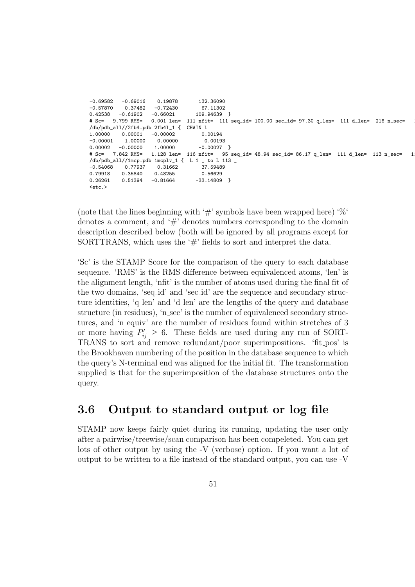```
-0.69582 -0.69016 0.19878 132.36090
-0.57870 0.37482 -0.72430 67.11302
0.42538 -0.61902 -0.66021 109.94639 }
# Sc= 9.799 RMS= 0.001 len= 111 nfit= 111 seq_id= 100.00 sec_id= 97.30 q_len= 111 d_len= 216 n_sec= 11 n_equiv= 111 fit_pos= L 1 _
/db/pdb_all//2fb4.pdb 2fb4l_1 { CHAIN L
1.00000 0.00001 -0.00002 0.00194<br>-0.00001 1.00000 0.00000 0.001930.00000 0.00193<br>1.00000 -0.00027 }
0.00002 -0.00000 1.00000# Sc= 7.842 RMS= 1.128 len= 116 nfit= 95 seq_id= 48.94 sec_id= 86.17 q_len= 111 d_len= 113 n_sec= 1
/db/pdb_all//1mcp.pdb 1mcplv_1 { L 1 _ to L 113 _
-0.54068 0.77937 0.31662 37.59489
0.79918 0.35840 0.48255<br>0.26261 0.51394 -0.81664-33.14809 }
<sub>etc.</sub></sub>
```
(note that the lines beginning with '#' symbols have been wrapped here) ' $\%$ ' denotes a comment, and '#' denotes numbers corresponding to the domain description described below (both will be ignored by all programs except for SORTTRANS, which uses the ' $\#$ ' fields to sort and interpret the data.

'Sc' is the STAMP Score for the comparison of the query to each database sequence. 'RMS' is the RMS difference between equivalenced atoms, 'len' is the alignment length, 'nfit' is the number of atoms used during the final fit of the two domains, 'seq id' and 'sec id' are the sequence and secondary structure identities, 'q len' and 'd len' are the lengths of the query and database structure (in residues), 'n sec' is the number of equivalenced secondary structures, and 'n equiv' are the number of residues found within stretches of 3 or more having  $P'_{ij} \geq 6$ . These fields are used during any run of SORT-TRANS to sort and remove redundant/poor superimpositions. 'fit pos' is the Brookhaven numbering of the position in the database sequence to which the query's N-terminal end was aligned for the initial fit. The transformation supplied is that for the superimposition of the database structures onto the query.

# 3.6 Output to standard output or log file

STAMP now keeps fairly quiet during its running, updating the user only after a pairwise/treewise/scan comparison has been compeleted. You can get lots of other output by using the -V (verbose) option. If you want a lot of output to be written to a file instead of the standard output, you can use -V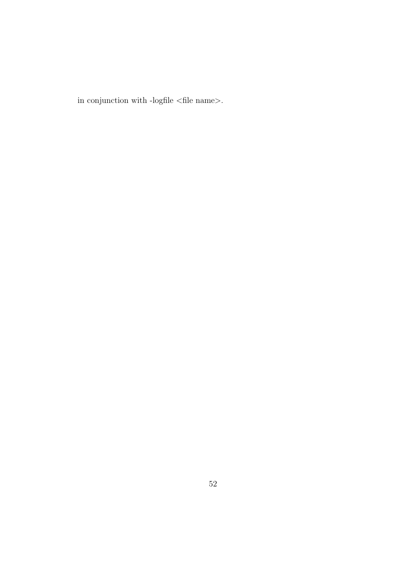in conjunction with -log<br>file  $<$  file name $>$ .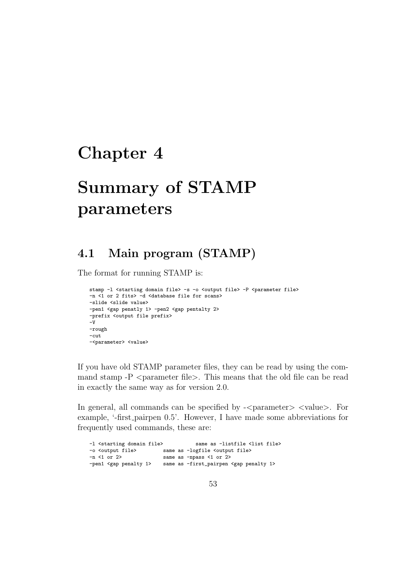# Chapter 4

# Summary of STAMP parameters

# 4.1 Main program (STAMP)

The format for running STAMP is:

```
stamp -1 <starting domain file> -s -o <output file> -P <parameter file>
-n <1 or 2 fits> -d <database file for scans>
-slide <slide value>
-pen1 <gap penatly 1> -pen2 <gap pentalty 2>
-prefix <output file prefix>
-V
-rough
-cut
-<parameter> <value>
```
If you have old STAMP parameter files, they can be read by using the command stamp  $-P$   $\leq$  parameter file $\geq$ . This means that the old file can be read in exactly the same way as for version 2.0.

In general, all commands can be specified by - $\epsilon$  parameter  $>$   $\epsilon$  value  $>$ . For example, '-first pairpen 0.5'. However, I have made some abbreviations for frequently used commands, these are:

| -1 <starting domain="" file=""></starting> |  | same as -listfile <list file=""></list>            |
|--------------------------------------------|--|----------------------------------------------------|
| -o <output file=""></output>               |  | same as -logfile <output file=""></output>         |
| $-n < 1$ or 2>                             |  | same as -npass <1 or 2>                            |
| -pen1 <gap 1="" penalty=""></gap>          |  | same as -first_pairpen <gap 1="" penalty=""></gap> |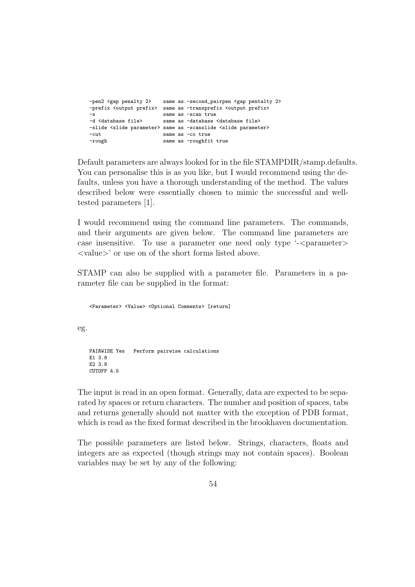```
-pen2 <gap penalty 2> same as -second_pairpen <gap pentalty 2>
-prefix <output prefix> same as -transprefix <output prefix>
-s same as -scan true
-d <database file> same as -database <database file>
-slide <slide parameter> same as -scanslide <slide parameter>
-cut same as -co true<br>-rough same as -roughfi
                       same as -roughfit true
```
Default parameters are always looked for in the file STAMPDIR/stamp.defaults. You can personalise this is as you like, but I would recommend using the defaults, unless you have a thorough understanding of the method. The values described below were essentially chosen to mimic the successful and welltested parameters [1].

I would recommend using the command line parameters. The commands, and their arguments are given below. The command line parameters are case insensitive. To use a parameter one need only type '- $\epsilon$ -parameter <value>' or use on of the short forms listed above.

STAMP can also be supplied with a parameter file. Parameters in a parameter file can be supplied in the format:

<Parameter> <Value> <Optional Comments> [return]

eg.

```
PAIRWISE Yes Perform pairwise calculations
E1 3.8
E2 3.8
CUTOFF 4.5
```
The input is read in an open format. Generally, data are expected to be separated by spaces or return characters. The number and position of spaces, tabs and returns generally should not matter with the exception of PDB format, which is read as the fixed format described in the brookhaven documentation.

The possible parameters are listed below. Strings, characters, floats and integers are as expected (though strings may not contain spaces). Boolean variables may be set by any of the following: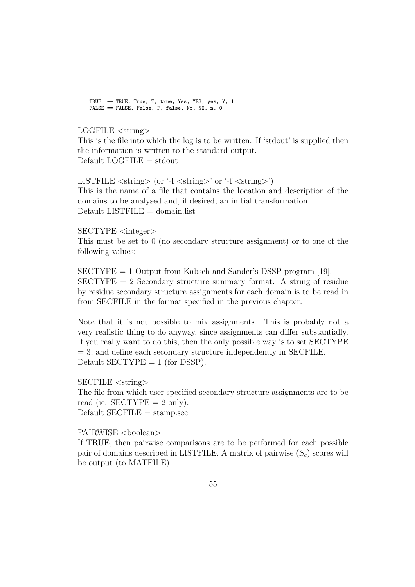TRUE == TRUE, True, T, true, Yes, YES, yes, Y, 1 FALSE == FALSE, False, F, false, No, NO, n, 0

LOGFILE <string>

This is the file into which the log is to be written. If 'stdout' is supplied then the information is written to the standard output.  $Default LOGFILE = stdout$ 

LISTFILE  $\langle \text{string} \rangle$  (or '-l  $\langle \text{string} \rangle$ ' or '-f  $\langle \text{string} \rangle$ ') This is the name of a file that contains the location and description of the domains to be analysed and, if desired, an initial transformation.  $Default$  LISTFILE = domain.list

 $SECTIONPE <$ integer

This must be set to 0 (no secondary structure assignment) or to one of the following values:

 $SECTIONPE = 1$  Output from Kabsch and Sander's DSSP program [19].  $SECTIONPE = 2$  Secondary structure summary format. A string of residue by residue secondary structure assignments for each domain is to be read in from SECFILE in the format specified in the previous chapter.

Note that it is not possible to mix assignments. This is probably not a very realistic thing to do anyway, since assignments can differ substantially. If you really want to do this, then the only possible way is to set SECTYPE  $=$  3, and define each secondary structure independently in SECFILE. Default  $SECTIONPE = 1$  (for DSSP).

SECFILE <string> The file from which user specified secondary structure assignments are to be read (ie.  $SECTYPE = 2$  only).  $Default$  SECFILE = stamp.sec

PAIRWISE <br/>  $>$ boolean>

If TRUE, then pairwise comparisons are to be performed for each possible pair of domains described in LISTFILE. A matrix of pairwise  $(S_c)$  scores will be output (to MATFILE).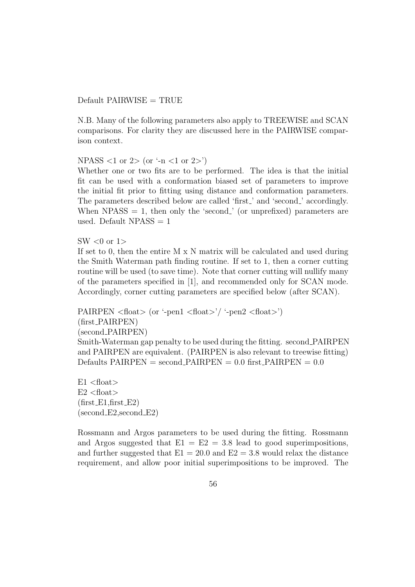#### $Default$  PAIRWISE = TRUE

N.B. Many of the following parameters also apply to TREEWISE and SCAN comparisons. For clarity they are discussed here in the PAIRWISE comparison context.

NPASS  $<1$  or  $2>(or -n <1$  or  $2>)$ 

Whether one or two fits are to be performed. The idea is that the initial fit can be used with a conformation biased set of parameters to improve the initial fit prior to fitting using distance and conformation parameters. The parameters described below are called 'first<sub>-</sub>' and 'second<sub>-</sub>' accordingly. When  $NPass = 1$ , then only the 'second.' (or unprefixed) parameters are used. Default  $NPass = 1$ 

 $SW < 0$  or  $1>$ 

If set to 0, then the entire M x N matrix will be calculated and used during the Smith Waterman path finding routine. If set to 1, then a corner cutting routine will be used (to save time). Note that corner cutting will nullify many of the parameters specified in [1], and recommended only for SCAN mode. Accordingly, corner cutting parameters are specified below (after SCAN).

PAIRPEN  $\langle$  float $\rangle$  (or '-pen1  $\langle$  float $\rangle$ '/ '-pen2  $\langle$  float $\rangle$ ') (first PAIRPEN) (second PAIRPEN) Smith-Waterman gap penalty to be used during the fitting. second PAIRPEN and PAIRPEN are equivalent. (PAIRPEN is also relevant to treewise fitting)  $\text{Defaults}$  PAIRPEN = second PAIRPEN = 0.0 first PAIRPEN = 0.0

 $E1$  <float>  $E2 <$ float $>$  $(first_E1, first_E2)$  $(\text{second-E2}, \text{second-E2})$ 

Rossmann and Argos parameters to be used during the fitting. Rossmann and Argos suggested that  $E1 = E2 = 3.8$  lead to good superimpositions, and further suggested that  $E1 = 20.0$  and  $E2 = 3.8$  would relax the distance requirement, and allow poor initial superimpositions to be improved. The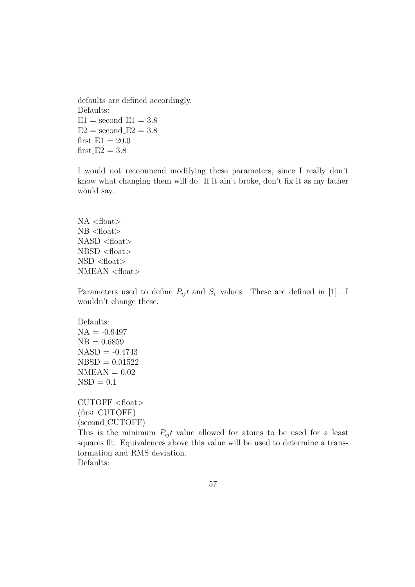defaults are defined accordingly. Defaults:  $E1 =$  second  $E1 = 3.8$  $E2 =$  second  $E2 = 3.8$ first  $E1 = 20.0$ first  $E2 = 3.8$ 

I would not recommend modifying these parameters, since I really don't know what changing them will do. If it ain't broke, don't fix it as my father would say.

 $NA <$ float $>$  $NB <$ float $>$  $NASD <$ float $>$ NBSD <float>  $NSD <$ float $>$ NMEAN <float>

Parameters used to define  $P_{ij}$  and  $S_c$  values. These are defined in [1]. I wouldn't change these.

Defaults:  $NA = -0.9497$  $NB = 0.6859$  $NASD = -0.4743$  $NBSD = 0.01522$  $NMEAN = 0.02$  $NSD = 0.1$ 

CUTOFF <float> (first CUTOFF) (second CUTOFF)

This is the minimum  $P_{ij}$  value allowed for atoms to be used for a least squares fit. Equivalences above this value will be used to determine a transformation and RMS deviation. Defaults: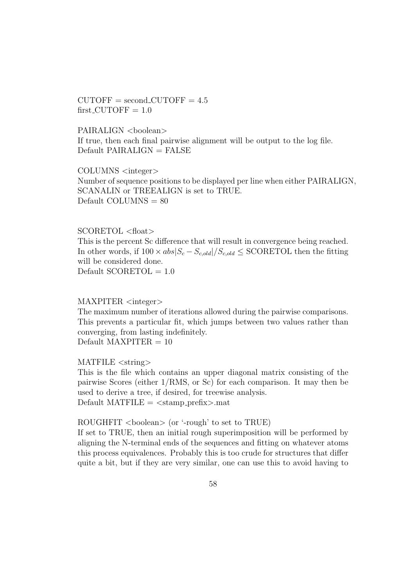$CUTOFF = second_CUTOFF = 4.5$  $first$ -CUTOFF = 1.0

PAIRALIGN <br/>boolean> If true, then each final pairwise alignment will be output to the log file.  $Default$  PAIRALIGN = FALSE

COLUMNS <integer> Number of sequence positions to be displayed per line when either PAIRALIGN, SCANALIN or TREEALIGN is set to TRUE. Default COLUMNS  $= 80$ 

#### SCORETOL <float>

This is the percent Sc difference that will result in convergence being reached. In other words, if  $100 \times abs|S_c - S_{c,old}|/S_{c,old} \leq SCORETOL$  then the fitting will be considered done. Default  $SCORETOL = 1.0$ 

#### MAXPITER <integer>

The maximum number of iterations allowed during the pairwise comparisons. This prevents a particular fit, which jumps between two values rather than converging, from lasting indefinitely. Default MAXPITER  $= 10$ 

MATFILE <string>

This is the file which contains an upper diagonal matrix consisting of the pairwise Scores (either 1/RMS, or Sc) for each comparison. It may then be used to derive a tree, if desired, for treewise analysis. Default MATFILE  $=$   $<$ stamp\_prefix $>$ mat

#### ROUGHFIT  $\langle \text{boolean} \rangle$  (or '-rough' to set to TRUE)

If set to TRUE, then an initial rough superimposition will be performed by aligning the N-terminal ends of the sequences and fitting on whatever atoms this process equivalences. Probably this is too crude for structures that differ quite a bit, but if they are very similar, one can use this to avoid having to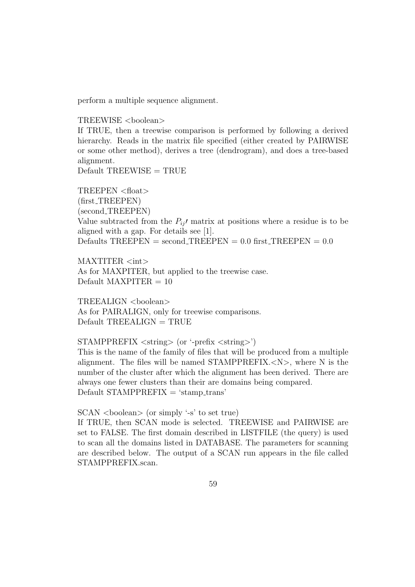perform a multiple sequence alignment.

#### TREEWISE <boolean>

If TRUE, then a treewise comparison is performed by following a derived hierarchy. Reads in the matrix file specified (either created by PAIRWISE or some other method), derives a tree (dendrogram), and does a tree-based alignment.

 $Default$  TREEWISE = TRUE

TREEPEN <float> (first TREEPEN) (second TREEPEN) Value subtracted from the  $P_{ij}$  matrix at positions where a residue is to be aligned with a gap. For details see [1]. Defaults  $TREEPEN = second\_TREEPEN = 0.0$  first\_ $TREEPEN = 0.0$ 

 $MAXTITER < int>$ As for MAXPITER, but applied to the treewise case. Default MAXPITER  $= 10$ 

TREEALIGN <boolean> As for PAIRALIGN, only for treewise comparisons.  $Default$   $TREEALIGN$  =  $TRUE$ 

#### STAMPPREFIX <string> (or '-prefix <string>')

This is the name of the family of files that will be produced from a multiple alignment. The files will be named STAMPPREFIX.<N>, where N is the number of the cluster after which the alignment has been derived. There are always one fewer clusters than their are domains being compared.  $Default STAMPPREFIX = 'stamp\_trans'$ 

#### $SCAN <sub>coolen</sub> > (or simply ' -s' to set true)$

If TRUE, then SCAN mode is selected. TREEWISE and PAIRWISE are set to FALSE. The first domain described in LISTFILE (the query) is used to scan all the domains listed in DATABASE. The parameters for scanning are described below. The output of a SCAN run appears in the file called STAMPPREFIX.scan.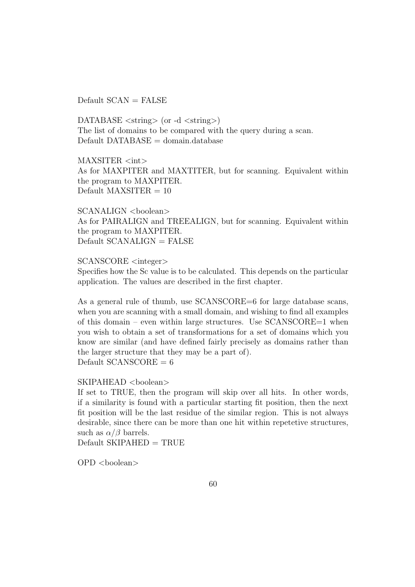$Default SCAN = FALSE$ 

DATABASE  $\langle \text{string} \rangle$  (or -d  $\langle \text{string} \rangle$ ) The list of domains to be compared with the query during a scan.  $Default$   $DATABASE = domain.database$ 

MAXSITER <int> As for MAXPITER and MAXTITER, but for scanning. Equivalent within the program to MAXPITER. Default MAXSITER  $= 10$ 

 $SCANALIGN <sub>coolen</sub>$ As for PAIRALIGN and TREEALIGN, but for scanning. Equivalent within the program to MAXPITER.  $Default$  SCANALIGN = FALSE

SCANSCORE <integer>

Specifies how the Sc value is to be calculated. This depends on the particular application. The values are described in the first chapter.

As a general rule of thumb, use SCANSCORE=6 for large database scans, when you are scanning with a small domain, and wishing to find all examples of this domain – even within large structures. Use  $SCANSCORE=1$  when you wish to obtain a set of transformations for a set of domains which you know are similar (and have defined fairly precisely as domains rather than the larger structure that they may be a part of). Default  $SCANSCORE = 6$ 

#### SKIPAHEAD <br/>boolean>

If set to TRUE, then the program will skip over all hits. In other words, if a similarity is found with a particular starting fit position, then the next fit position will be the last residue of the similar region. This is not always desirable, since there can be more than one hit within repetetive structures, such as  $\alpha/\beta$  barrels.

 $Default$  SKIPAHED = TRUE

 $OPD <$ boolean $>$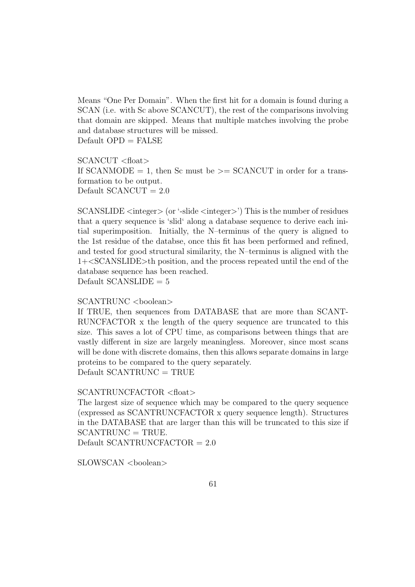Means "One Per Domain". When the first hit for a domain is found during a SCAN (i.e. with Sc above SCANCUT), the rest of the comparisons involving that domain are skipped. Means that multiple matches involving the probe and database structures will be missed.  $Default$   $OPD = FALSE$ 

SCANCUT <float> If SCANMODE  $= 1$ , then Sc must be  $\geq$  SCANCUT in order for a transformation to be output. Default  $SCANCUT = 2.0$ 

SCANSLIDE  $\langle$  integer $\rangle$  (or '-slide  $\langle$  integer $\rangle$ ') This is the number of residues that a query sequence is 'slid' along a database sequence to derive each initial superimposition. Initially, the N–terminus of the query is aligned to the 1st residue of the databse, once this fit has been performed and refined, and tested for good structural similarity, the N–terminus is aligned with the 1+<SCANSLIDE>th position, and the process repeated until the end of the database sequence has been reached. Default  $SCANSLIDE = 5$ 

#### SCANTRUNC <br/> <br/>boolean>

If TRUE, then sequences from DATABASE that are more than SCANT-RUNCFACTOR x the length of the query sequence are truncated to this size. This saves a lot of CPU time, as comparisons between things that are vastly different in size are largely meaningless. Moreover, since most scans will be done with discrete domains, then this allows separate domains in large proteins to be compared to the query separately.  $Default$  SCANTRUNC = TRUE

#### SCANTRUNCFACTOR <float>

The largest size of sequence which may be compared to the query sequence (expressed as SCANTRUNCFACTOR x query sequence length). Structures in the DATABASE that are larger than this will be truncated to this size if  $SCANTRUNC = TRUE.$ 

Default SCANTRUNCFACTOR  $= 2.0$ 

SLOWSCAN <br/>boolean>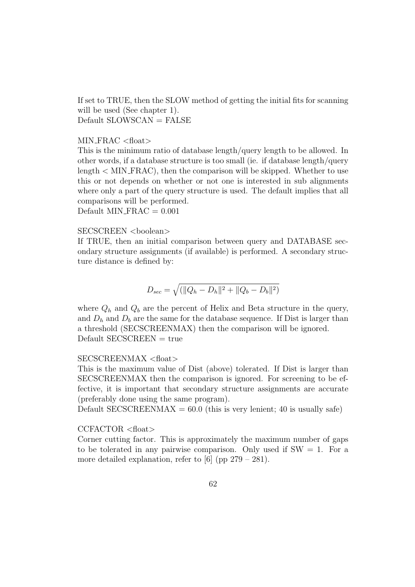If set to TRUE, then the SLOW method of getting the initial fits for scanning will be used (See chapter 1).  $Default$   $SLOWSCAN = FALSE$ 

#### $MIN_FRAC <$ float $>$

This is the minimum ratio of database length/query length to be allowed. In other words, if a database structure is too small (ie. if database length/query  $length < MIN\_FRAC$ , then the comparison will be skipped. Whether to use this or not depends on whether or not one is interested in sub alignments where only a part of the query structure is used. The default implies that all comparisons will be performed.

Default MIN\_FRAC  $= 0.001$ 

#### SECSCREEN <br/>boolean>

If TRUE, then an initial comparison between query and DATABASE secondary structure assignments (if available) is performed. A secondary structure distance is defined by:

$$
D_{sec} = \sqrt{(\|Q_h - D_h\|^2 + \|Q_b - D_b\|^2)}
$$

where  $Q_h$  and  $Q_b$  are the percent of Helix and Beta structure in the query, and  $D_h$  and  $D_b$  are the same for the database sequence. If Dist is larger than a threshold (SECSCREENMAX) then the comparison will be ignored.  $Default$  SECSCREEN = true

#### SECSCREENMAX <float>

This is the maximum value of Dist (above) tolerated. If Dist is larger than SECSCREENMAX then the comparison is ignored. For screening to be effective, it is important that secondary structure assignments are accurate (preferably done using the same program).

Default SECSCREENMAX =  $60.0$  (this is very lenient; 40 is usually safe)

#### CCFACTOR <float>

Corner cutting factor. This is approximately the maximum number of gaps to be tolerated in any pairwise comparison. Only used if  $SW = 1$ . For a more detailed explanation, refer to [6] (pp  $279 - 281$ ).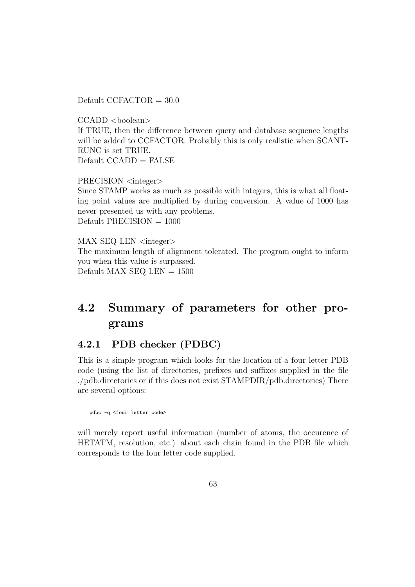Default CCFACTOR  $= 30.0$ 

 $CCADD <$ boolean $>$ If TRUE, then the difference between query and database sequence lengths will be added to CCFACTOR. Probably this is only realistic when SCANT-RUNC is set TRUE.  $Default CCADD = FALSE$ 

PRECISION <integer> Since STAMP works as much as possible with integers, this is what all floating point values are multiplied by during conversion. A value of 1000 has never presented us with any problems.  $Default PRECISION = 1000$ 

MAX\_SEQ\_LEN <integer> The maximum length of alignment tolerated. The program ought to inform you when this value is surpassed. Default  $MAX\_SEQ\_LEN = 1500$ 

# 4.2 Summary of parameters for other programs

# 4.2.1 PDB checker (PDBC)

This is a simple program which looks for the location of a four letter PDB code (using the list of directories, prefixes and suffixes supplied in the file ./pdb.directories or if this does not exist STAMPDIR/pdb.directories) There are several options:

pdbc -q <four letter code>

will merely report useful information (number of atoms, the occurence of HETATM, resolution, etc.) about each chain found in the PDB file which corresponds to the four letter code supplied.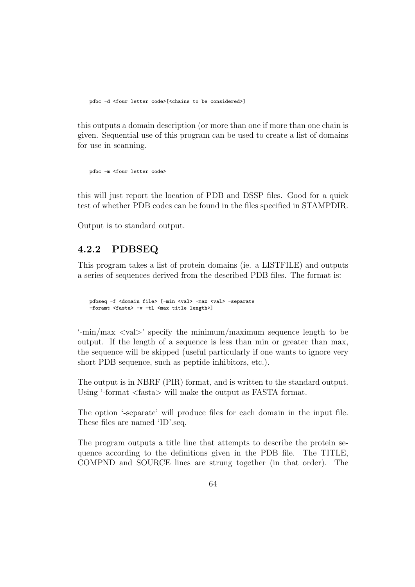pdbc -d <four letter code>[<chains to be considered>]

this outputs a domain description (or more than one if more than one chain is given. Sequential use of this program can be used to create a list of domains for use in scanning.

```
pdbc -m <four letter code>
```
this will just report the location of PDB and DSSP files. Good for a quick test of whether PDB codes can be found in the files specified in STAMPDIR.

Output is to standard output.

## 4.2.2 PDBSEQ

This program takes a list of protein domains (ie. a LISTFILE) and outputs a series of sequences derived from the described PDB files. The format is:

```
pdbseq -f <domain file> [-min <val> -max <val> -separate
-foramt <fasta> -v -tl <max title length>]
```
'-min/max <val>' specify the minimum/maximum sequence length to be output. If the length of a sequence is less than min or greater than max, the sequence will be skipped (useful particularly if one wants to ignore very short PDB sequence, such as peptide inhibitors, etc.).

The output is in NBRF (PIR) format, and is written to the standard output. Using '-format <fasta> will make the output as FASTA format.

The option '-separate' will produce files for each domain in the input file. These files are named 'ID'.seq.

The program outputs a title line that attempts to describe the protein sequence according to the definitions given in the PDB file. The TITLE, COMPND and SOURCE lines are strung together (in that order). The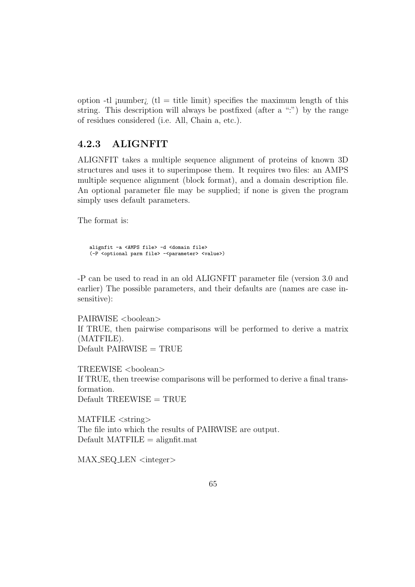option -tl ; number; (t) = title limit) specifies the maximum length of this string. This description will always be postfixed (after a ":") by the range of residues considered (i.e. All, Chain a, etc.).

## 4.2.3 ALIGNFIT

ALIGNFIT takes a multiple sequence alignment of proteins of known 3D structures and uses it to superimpose them. It requires two files: an AMPS multiple sequence alignment (block format), and a domain description file. An optional parameter file may be supplied; if none is given the program simply uses default parameters.

The format is:

alignfit -a <AMPS file> -d <domain file> (-P <optional parm file> -<parameter> <value>)

-P can be used to read in an old ALIGNFIT parameter file (version 3.0 and earlier) The possible parameters, and their defaults are (names are case insensitive):

PAIRWISE <br/>  $>$ boolean> If TRUE, then pairwise comparisons will be performed to derive a matrix (MATFILE).  $Default$  PAIRWISE = TRUE

TREEWISE <boolean> If TRUE, then treewise comparisons will be performed to derive a final transformation.  $Default$  TREEWISE = TRUE

MATFILE <string> The file into which the results of PAIRWISE are output.  $Default$   $MATFILE$  = alignfit.mat

 $MAX\_SEQ\_LEN \leq integer$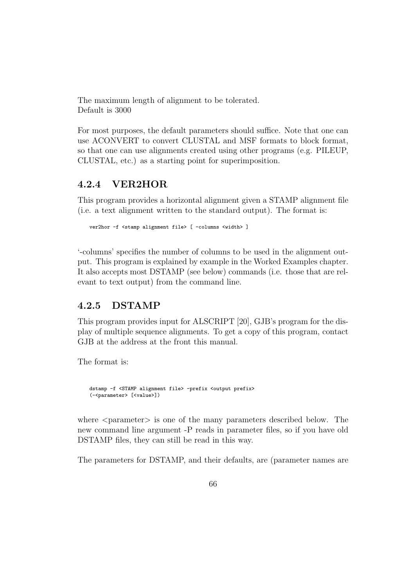The maximum length of alignment to be tolerated. Default is 3000

For most purposes, the default parameters should suffice. Note that one can use ACONVERT to convert CLUSTAL and MSF formats to block format, so that one can use alignments created using other programs (e.g. PILEUP, CLUSTAL, etc.) as a starting point for superimposition.

## 4.2.4 VER2HOR

This program provides a horizontal alignment given a STAMP alignment file (i.e. a text alignment written to the standard output). The format is:

```
ver2hor -f <stamp alignment file> [ -columns <width> ]
```
'-columns' specifies the number of columns to be used in the alignment output. This program is explained by example in the Worked Examples chapter. It also accepts most DSTAMP (see below) commands (i.e. those that are relevant to text output) from the command line.

## 4.2.5 DSTAMP

This program provides input for ALSCRIPT [20], GJB's program for the display of multiple sequence alignments. To get a copy of this program, contact GJB at the address at the front this manual.

The format is:

```
dstamp -f <STAMP alignment file> -prefix <output prefix>
(-<parameter> [<value>])
```
where  $\leq$  parameter $>$  is one of the many parameters described below. The new command line argument -P reads in parameter files, so if you have old DSTAMP files, they can still be read in this way.

The parameters for DSTAMP, and their defaults, are (parameter names are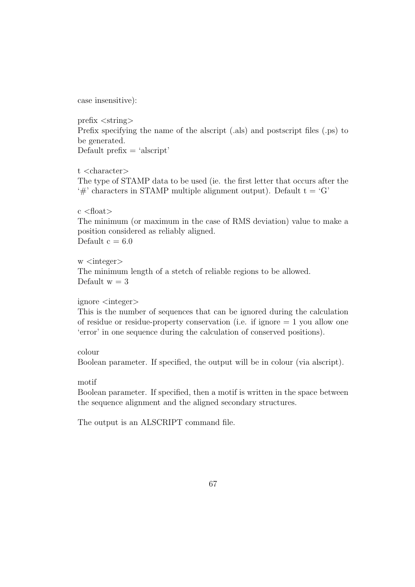case insensitive):

prefix <string> Prefix specifying the name of the alscript (.als) and postscript files (.ps) to be generated. Default prefix  $=$  'alscript'

t <character> The type of STAMP data to be used (ie. the first letter that occurs after the  $\hat{H}$  characters in STAMP multiple alignment output). Default t =  $G'$ 

 $c$  <float> The minimum (or maximum in the case of RMS deviation) value to make a position considered as reliably aligned. Default  $c = 6.0$ 

w <integer> The minimum length of a stetch of reliable regions to be allowed. Default  $w = 3$ 

#### ignore <integer>

This is the number of sequences that can be ignored during the calculation of residue or residue-property conservation (i.e. if ignore  $= 1$  you allow one 'error' in one sequence during the calculation of conserved positions).

colour

Boolean parameter. If specified, the output will be in colour (via alscript).

motif

Boolean parameter. If specified, then a motif is written in the space between the sequence alignment and the aligned secondary structures.

The output is an ALSCRIPT command file.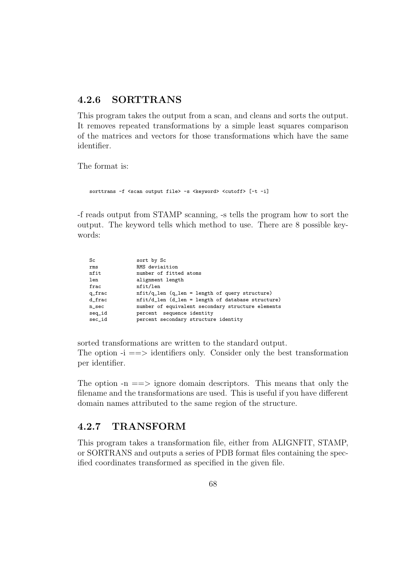## 4.2.6 SORTTRANS

This program takes the output from a scan, and cleans and sorts the output. It removes repeated transformations by a simple least squares comparison of the matrices and vectors for those transformations which have the same identifier.

The format is:

```
sorttrans -f <scan output file> -s <keyword> <cutoff> [-t -i]
```
-f reads output from STAMP scanning, -s tells the program how to sort the output. The keyword tells which method to use. There are 8 possible keywords:

| Sc       | sort by Sc                                                |
|----------|-----------------------------------------------------------|
| rms      | RMS deviaition                                            |
| nfit     | number of fitted atoms                                    |
| len      | alignment length                                          |
| frac     | nfit/len                                                  |
| q_frac   | $nfit/q_{\text{len}}$ (q_len = length of query structure) |
| d_frac   | nfit/d_len (d_len = length of database structure)         |
| $n$ _sec | number of equivalent secondary structure elements         |
| seq_id   | percent sequence identity                                 |
| sec_id   | percent secondary structure identity                      |
|          |                                                           |

sorted transformations are written to the standard output. The option  $-i \implies$  identifiers only. Consider only the best transformation per identifier.

The option  $-n == >$  ignore domain descriptors. This means that only the filename and the transformations are used. This is useful if you have different domain names attributed to the same region of the structure.

## 4.2.7 TRANSFORM

This program takes a transformation file, either from ALIGNFIT, STAMP, or SORTRANS and outputs a series of PDB format files containing the specified coordinates transformed as specified in the given file.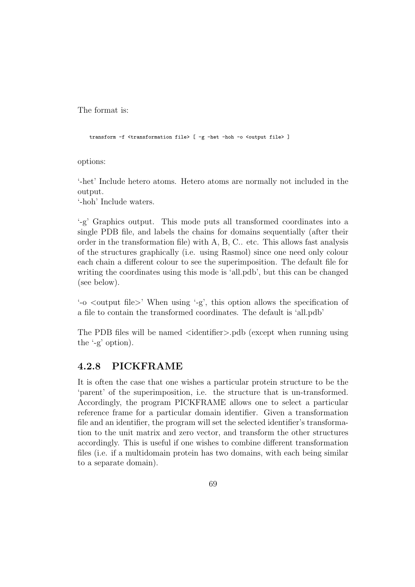The format is:

transform -f <transformation file> [ -g -het -hoh -o <output file> ]

options:

'-het' Include hetero atoms. Hetero atoms are normally not included in the output.

'-hoh' Include waters.

'-g' Graphics output. This mode puts all transformed coordinates into a single PDB file, and labels the chains for domains sequentially (after their order in the transformation file) with A, B, C.. etc. This allows fast analysis of the structures graphically (i.e. using Rasmol) since one need only colour each chain a different colour to see the superimposition. The default file for writing the coordinates using this mode is 'all.pdb', but this can be changed (see below).

'-o <output file>' When using '-g', this option allows the specification of a file to contain the transformed coordinates. The default is 'all.pdb'

The PDB files will be named <identifier>.pdb (except when running using the '-g' option).

# 4.2.8 PICKFRAME

It is often the case that one wishes a particular protein structure to be the 'parent' of the superimposition, i.e. the structure that is un-transformed. Accordingly, the program PICKFRAME allows one to select a particular reference frame for a particular domain identifier. Given a transformation file and an identifier, the program will set the selected identifier's transformation to the unit matrix and zero vector, and transform the other structures accordingly. This is useful if one wishes to combine different transformation files (i.e. if a multidomain protein has two domains, with each being similar to a separate domain).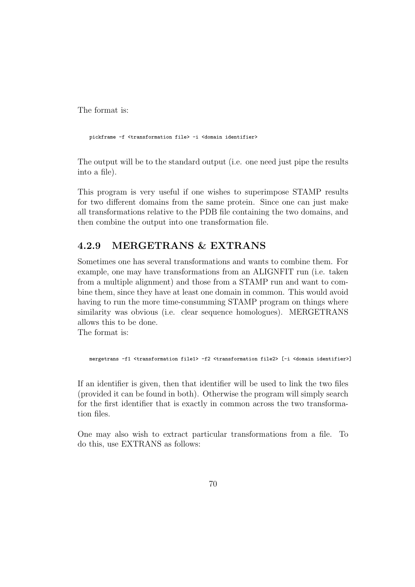The format is:

pickframe -f <transformation file> -i <domain identifier>

The output will be to the standard output (i.e. one need just pipe the results into a file).

This program is very useful if one wishes to superimpose STAMP results for two different domains from the same protein. Since one can just make all transformations relative to the PDB file containing the two domains, and then combine the output into one transformation file.

# 4.2.9 MERGETRANS & EXTRANS

Sometimes one has several transformations and wants to combine them. For example, one may have transformations from an ALIGNFIT run (i.e. taken from a multiple alignment) and those from a STAMP run and want to combine them, since they have at least one domain in common. This would avoid having to run the more time-consumming STAMP program on things where similarity was obvious (i.e. clear sequence homologues). MERGETRANS allows this to be done.

The format is:

mergetrans -f1 <transformation file1> -f2 <transformation file2> [-i <domain identifier>]

If an identifier is given, then that identifier will be used to link the two files (provided it can be found in both). Otherwise the program will simply search for the first identifier that is exactly in common across the two transformation files.

One may also wish to extract particular transformations from a file. To do this, use EXTRANS as follows: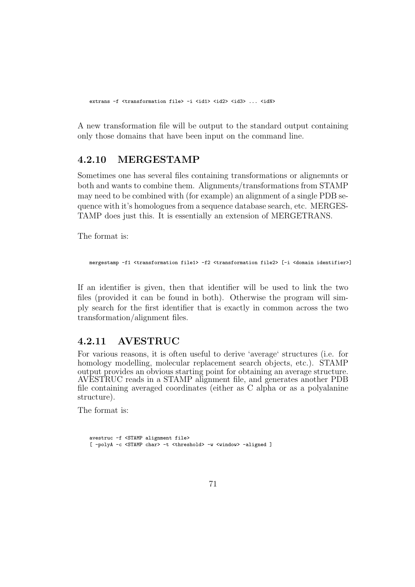extrans -f <transformation file> -i <id1> <id2> <id3> ... <idN>

A new transformation file will be output to the standard output containing only those domains that have been input on the command line.

## 4.2.10 MERGESTAMP

Sometimes one has several files containing transformations or alignemnts or both and wants to combine them. Alignments/transformations from STAMP may need to be combined with (for example) an alignment of a single PDB sequence with it's homologues from a sequence database search, etc. MERGES-TAMP does just this. It is essentially an extension of MERGETRANS.

The format is:

```
mergestamp -f1 <transformation file1> -f2 <transformation file2> [-i <domain identifier>]
```
If an identifier is given, then that identifier will be used to link the two files (provided it can be found in both). Otherwise the program will simply search for the first identifier that is exactly in common across the two transformation/alignment files.

### 4.2.11 AVESTRUC

For various reasons, it is often useful to derive 'average' structures (i.e. for homology modelling, molecular replacement search objects, etc.). STAMP output provides an obvious starting point for obtaining an average structure. AVESTRUC reads in a STAMP alignment file, and generates another PDB file containing averaged coordinates (either as C alpha or as a polyalanine structure).

The format is:

```
avestruc -f <STAMP alignment file>
[ -polyA -c <STAMP char> -t <threshold> -w <window> -aligned ]
```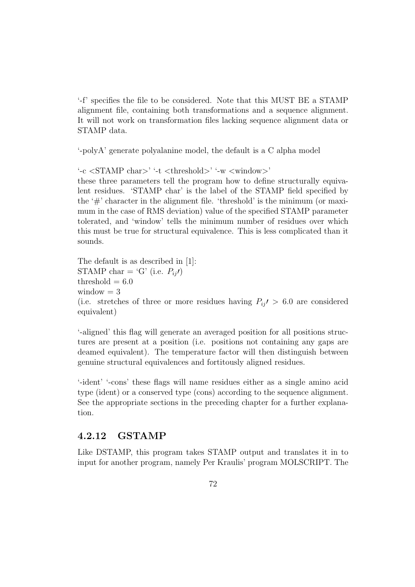'-f' specifies the file to be considered. Note that this MUST BE a STAMP alignment file, containing both transformations and a sequence alignment. It will not work on transformation files lacking sequence alignment data or STAMP data.

'-polyA' generate polyalanine model, the default is a C alpha model

'-c <STAMP char>' '-t <threshold>' '-w <window>' these three parameters tell the program how to define structurally equivalent residues. 'STAMP char' is the label of the STAMP field specified by the  $\#$  character in the alignment file. 'threshold' is the minimum (or maximum in the case of RMS deviation) value of the specified STAMP parameter tolerated, and 'window' tells the minimum number of residues over which this must be true for structural equivalence. This is less complicated than it sounds.

The default is as described in [1]: STAMP char = 'G' (i.e.  $P_{ii}$ ) threshold  $= 6.0$ window  $= 3$ (i.e. stretches of three or more residues having  $P_{ij} > 6.0$  are considered equivalent)

'-aligned' this flag will generate an averaged position for all positions structures are present at a position (i.e. positions not containing any gaps are deamed equivalent). The temperature factor will then distinguish between genuine structural equivalences and fortitously aligned residues.

'-ident' '-cons' these flags will name residues either as a single amino acid type (ident) or a conserved type (cons) according to the sequence alignment. See the appropriate sections in the preceding chapter for a further explanation.

#### 4.2.12 GSTAMP

Like DSTAMP, this program takes STAMP output and translates it in to input for another program, namely Per Kraulis' program MOLSCRIPT. The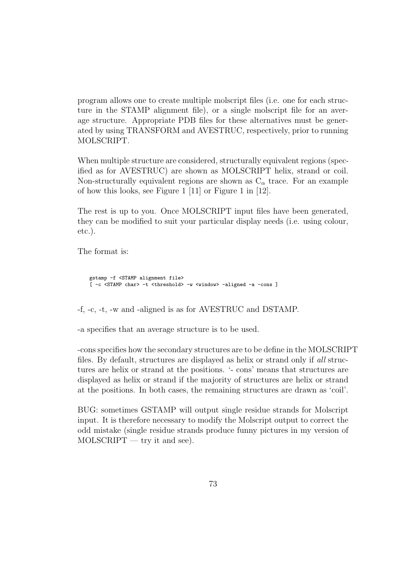program allows one to create multiple molscript files (i.e. one for each structure in the STAMP alignment file), or a single molscript file for an average structure. Appropriate PDB files for these alternatives must be generated by using TRANSFORM and AVESTRUC, respectively, prior to running MOLSCRIPT.

When multiple structure are considered, structurally equivalent regions (specified as for AVESTRUC) are shown as MOLSCRIPT helix, strand or coil. Non-structurally equivalent regions are shown as  $C_{\alpha}$  trace. For an example of how this looks, see Figure 1 [11] or Figure 1 in [12].

The rest is up to you. Once MOLSCRIPT input files have been generated, they can be modified to suit your particular display needs (i.e. using colour, etc.).

The format is:

```
gstamp -f <STAMP alignment file>
[ -c <STAMP char> -t <threshold> -w <window> -aligned -a -cons ]
```
-f, -c, -t, -w and -aligned is as for AVESTRUC and DSTAMP.

-a specifies that an average structure is to be used.

-cons specifies how the secondary structures are to be define in the MOLSCRIPT files. By default, structures are displayed as helix or strand only if all structures are helix or strand at the positions. '- cons' means that structures are displayed as helix or strand if the majority of structures are helix or strand at the positions. In both cases, the remaining structures are drawn as 'coil'.

BUG: sometimes GSTAMP will output single residue strands for Molscript input. It is therefore necessary to modify the Molscript output to correct the odd mistake (single residue strands produce funny pictures in my version of  $MOLSCRIPT - try it and see).$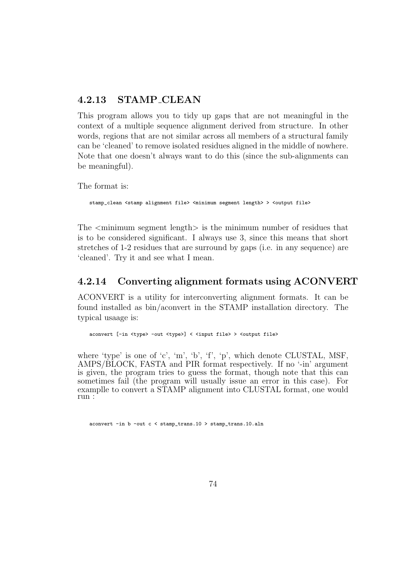#### 4.2.13 STAMP CLEAN

This program allows you to tidy up gaps that are not meaningful in the context of a multiple sequence alignment derived from structure. In other words, regions that are not similar across all members of a structural family can be 'cleaned' to remove isolated residues aligned in the middle of nowhere. Note that one doesn't always want to do this (since the sub-alignments can be meaningful).

The format is:

stamp\_clean <stamp alignment file> <minimum segment length> > <output file>

The  $\leq$  minimum segment length $>$  is the minimum number of residues that is to be considered significant. I always use 3, since this means that short stretches of 1-2 residues that are surround by gaps (i.e. in any sequence) are 'cleaned'. Try it and see what I mean.

#### 4.2.14 Converting alignment formats using ACONVERT

ACONVERT is a utility for interconverting alignment formats. It can be found installed as bin/aconvert in the STAMP installation directory. The typical usaage is:

aconvert [-in <type> -out <type>] < <input file> > <output file>

where 'type' is one of 'c', 'm', 'b', 'f', 'p', which denote CLUSTAL, MSF, AMPS/BLOCK, FASTA and PIR format respectively. If no '-in' argument is given, the program tries to guess the format, though note that this can sometimes fail (the program will usually issue an error in this case). For examplle to convert a STAMP alignment into CLUSTAL format, one would run :

aconvert -in b -out c < stamp\_trans.10 > stamp\_trans.10.aln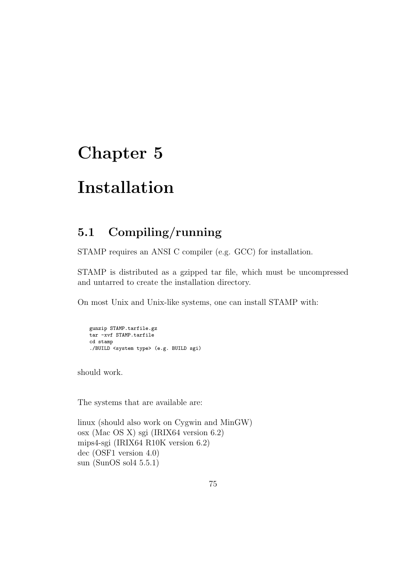## Chapter 5

## Installation

### 5.1 Compiling/running

STAMP requires an ANSI C compiler (e.g. GCC) for installation.

STAMP is distributed as a gzipped tar file, which must be uncompressed and untarred to create the installation directory.

On most Unix and Unix-like systems, one can install STAMP with:

```
gunzip STAMP.tarfile.gz
tar -xvf STAMP.tarfile
cd stamp
./BUILD <system type> (e.g. BUILD sgi)
```
should work.

The systems that are available are:

linux (should also work on Cygwin and MinGW) osx (Mac OS X) sgi (IRIX64 version 6.2) mips4-sgi (IRIX64 R10K version 6.2) dec (OSF1 version 4.0) sun (SunOS sol4 5.5.1)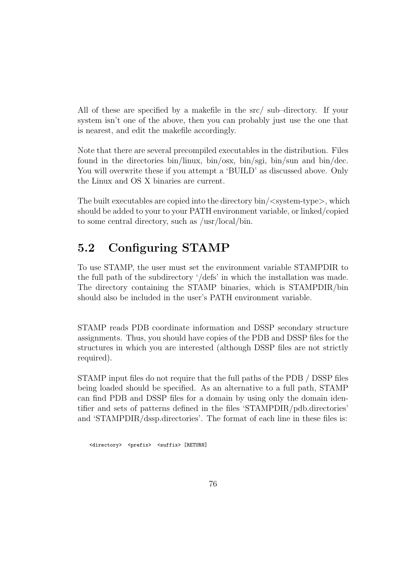All of these are specified by a makefile in the src/ sub–directory. If your system isn't one of the above, then you can probably just use the one that is nearest, and edit the makefile accordingly.

Note that there are several precompiled executables in the distribution. Files found in the directories bin/linux, bin/osx, bin/sgi, bin/sun and bin/dec. You will overwrite these if you attempt a 'BUILD' as discussed above. Only the Linux and OS X binaries are current.

The built executables are copied into the directory  $\binom{1}{3}$  system-type $>$ , which should be added to your to your PATH environment variable, or linked/copied to some central directory, such as /usr/local/bin.

### 5.2 Configuring STAMP

To use STAMP, the user must set the environment variable STAMPDIR to the full path of the subdirectory '/defs' in which the installation was made. The directory containing the STAMP binaries, which is STAMPDIR/bin should also be included in the user's PATH environment variable.

STAMP reads PDB coordinate information and DSSP secondary structure assignments. Thus, you should have copies of the PDB and DSSP files for the structures in which you are interested (although DSSP files are not strictly required).

STAMP input files do not require that the full paths of the PDB / DSSP files being loaded should be specified. As an alternative to a full path, STAMP can find PDB and DSSP files for a domain by using only the domain identifier and sets of patterns defined in the files 'STAMPDIR/pdb.directories' and 'STAMPDIR/dssp.directories'. The format of each line in these files is:

<directory> <prefix> <suffix> [RETURN]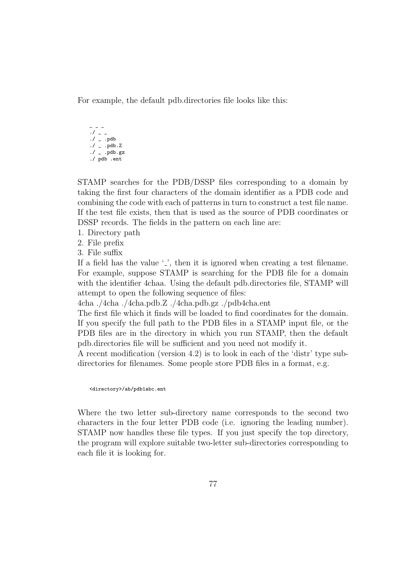For example, the default pdb.directories file looks like this:

 $\overline{a}$   $\overline{a}$   $\overline{b}$  $. /$   $_{-}$   $_{-}$  $. /$   $_{-}$   $.$  pdb  $./$  \_ .pdb.Z  $./ -$ .pdb.gz ./ pdb .ent

STAMP searches for the PDB/DSSP files corresponding to a domain by taking the first four characters of the domain identifier as a PDB code and combining the code with each of patterns in turn to construct a test file name. If the test file exists, then that is used as the source of PDB coordinates or DSSP records. The fields in the pattern on each line are:

- 1. Directory path
- 2. File prefix
- 3. File suffix

If a field has the value  $\cdot$ , then it is ignored when creating a test filename. For example, suppose STAMP is searching for the PDB file for a domain with the identifier 4chaa. Using the default pdb.directories file, STAMP will attempt to open the following sequence of files:

4cha ./4cha ./4cha.pdb.Z ./4cha.pdb.gz ./pdb4cha.ent

The first file which it finds will be loaded to find coordinates for the domain. If you specify the full path to the PDB files in a STAMP input file, or the PDB files are in the directory in which you run STAMP, then the default pdb.directories file will be sufficient and you need not modify it.

A recent modification (version 4.2) is to look in each of the 'distr' type subdirectories for filenames. Some people store PDB files in a format, e.g.

<directory>/ab/pdb1abc.ent

Where the two letter sub-directory name corresponds to the second two characters in the four letter PDB code (i.e. ignoring the leading number). STAMP now handles these file types. If you just specify the top directory, the program will explore suitable two-letter sub-directories corresponding to each file it is looking for.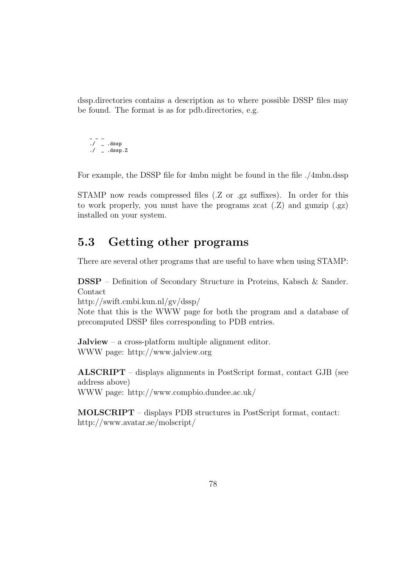dssp.directories contains a description as to where possible DSSP files may be found. The format is as for pdb.directories, e.g.

$$
-\ -
$$
  
. /  
. .dssp.  
. /  
. .dssp. Z

For example, the DSSP file for 4mbn might be found in the file ./4mbn.dssp

STAMP now reads compressed files (.Z or .gz suffixes). In order for this to work properly, you must have the programs zcat  $(Z)$  and gunzip  $(gz)$ installed on your system.

### 5.3 Getting other programs

There are several other programs that are useful to have when using STAMP:

DSSP – Definition of Secondary Structure in Proteins, Kabsch & Sander. Contact

http://swift.cmbi.kun.nl/gv/dssp/

Note that this is the WWW page for both the program and a database of precomputed DSSP files corresponding to PDB entries.

Jalview – a cross-platform multiple alignment editor. WWW page: http://www.jalview.org

ALSCRIPT – displays alignments in PostScript format, contact GJB (see address above) WWW page: http://www.compbio.dundee.ac.uk/

MOLSCRIPT – displays PDB structures in PostScript format, contact: http://www.avatar.se/molscript/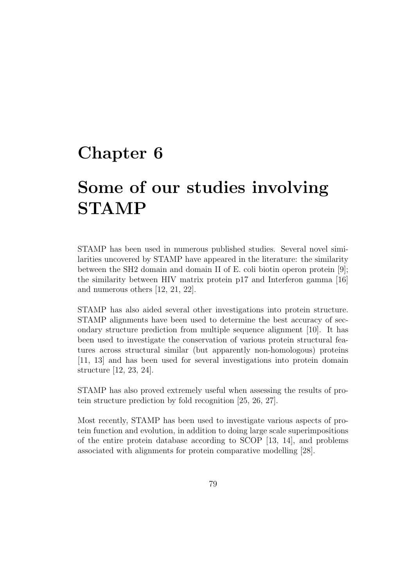### Chapter 6

# Some of our studies involving STAMP

STAMP has been used in numerous published studies. Several novel similarities uncovered by STAMP have appeared in the literature: the similarity between the SH2 domain and domain II of E. coli biotin operon protein [9]; the similarity between HIV matrix protein p17 and Interferon gamma [16] and numerous others [12, 21, 22].

STAMP has also aided several other investigations into protein structure. STAMP alignments have been used to determine the best accuracy of secondary structure prediction from multiple sequence alignment [10]. It has been used to investigate the conservation of various protein structural features across structural similar (but apparently non-homologous) proteins [11, 13] and has been used for several investigations into protein domain structure [12, 23, 24].

STAMP has also proved extremely useful when assessing the results of protein structure prediction by fold recognition [25, 26, 27].

Most recently, STAMP has been used to investigate various aspects of protein function and evolution, in addition to doing large scale superimpositions of the entire protein database according to SCOP [13, 14], and problems associated with alignments for protein comparative modelling [28].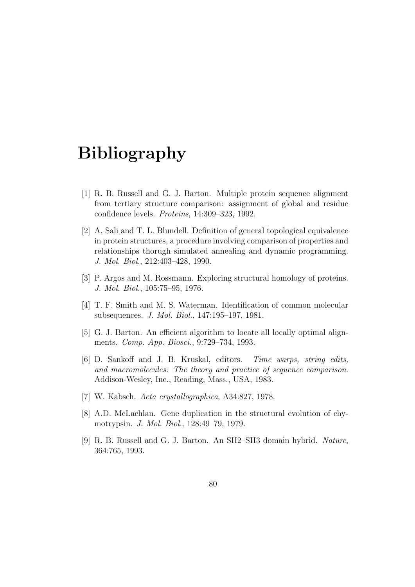## Bibliography

- [1] R. B. Russell and G. J. Barton. Multiple protein sequence alignment from tertiary structure comparison: assignment of global and residue confidence levels. Proteins, 14:309–323, 1992.
- [2] A. Sali and T. L. Blundell. Definition of general topological equivalence in protein structures, a procedure involving comparison of properties and relationships thorugh simulated annealing and dynamic programming. J. Mol. Biol., 212:403–428, 1990.
- [3] P. Argos and M. Rossmann. Exploring structural homology of proteins. J. Mol. Biol., 105:75–95, 1976.
- [4] T. F. Smith and M. S. Waterman. Identification of common molecular subsequences. J. Mol. Biol., 147:195–197, 1981.
- [5] G. J. Barton. An efficient algorithm to locate all locally optimal alignments. Comp. App. Biosci., 9:729–734, 1993.
- [6] D. Sankoff and J. B. Kruskal, editors. Time warps, string edits, and macromolecules: The theory and practice of sequence comparison. Addison-Wesley, Inc., Reading, Mass., USA, 1983.
- [7] W. Kabsch. Acta crystallographica, A34:827, 1978.
- [8] A.D. McLachlan. Gene duplication in the structural evolution of chymotrypsin. J. Mol. Biol., 128:49–79, 1979.
- [9] R. B. Russell and G. J. Barton. An SH2–SH3 domain hybrid. Nature, 364:765, 1993.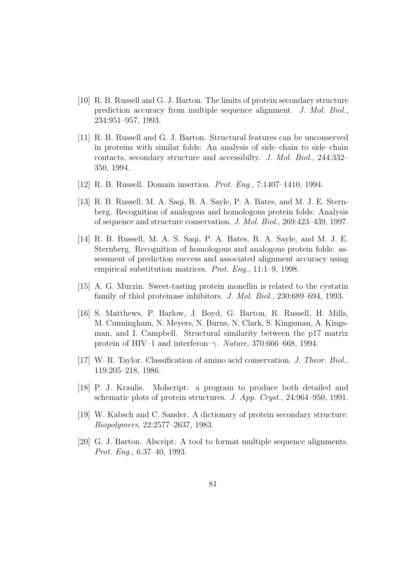- [10] R. B. Russell and G. J. Barton. The limits of protein secondary structure prediction accuracy from multiple sequence alignment. J. Mol. Biol., 234:951–957, 1993.
- [11] R. B. Russell and G. J. Barton. Structural features can be unconserved in proteins with similar folds: An analysis of side–chain to side–chain contacts, secondary structure and accessibilty. J. Mol. Biol., 244:332– 350, 1994.
- [12] R. B. Russell. Domain insertion. Prot. Eng., 7:1407–1410, 1994.
- [13] R. B. Russell, M. A. Saqi, R. A. Sayle, P. A. Bates, and M. J. E. Sternberg. Recognition of analogous and homologous protein folds: Analysis of sequence and structure conservation. J. Mol. Biol., 269:423–439, 1997.
- [14] R. B. Russell, M. A. S. Saqi, P. A. Bates, R. A. Sayle, and M. J. E. Sternberg. Recognition of homologous and analogous protein folds: assessment of prediction success and associated alignment accuracy using empirical substitution matrices. Prot. Eng., 11:1–9, 1998.
- [15] A. G. Murzin. Sweet-tasting protein monellin is related to the cystatin family of thiol proteinase inhibitors. J. Mol. Biol., 230:689–694, 1993.
- [16] S. Matthews, P. Barlow, J. Boyd, G. Barton, R. Russell, H. Mills, M. Cunningham, N. Meyers, N. Burns, N. Clark, S. Kingsman, A. Kingsman, and I. Campbell. Structural similarity between the p17 matrix protein of HIV–1 and interferon–γ. Nature, 370:666–668, 1994.
- [17] W. R. Taylor. Classification of amino acid conservation. J. Theor. Biol., 119:205–218, 1986.
- [18] P. J. Kraulis. Molscript: a program to produce both detailed and schematic plots of protein structures. J. App. Cryst., 24:964–950, 1991.
- [19] W. Kabsch and C. Sander. A dictionary of protein secondary structure. Biopolymers, 22:2577–2637, 1983.
- [20] G. J. Barton. Alscript: A tool to format multiple sequence alignments. Prot. Eng., 6:37–40, 1993.